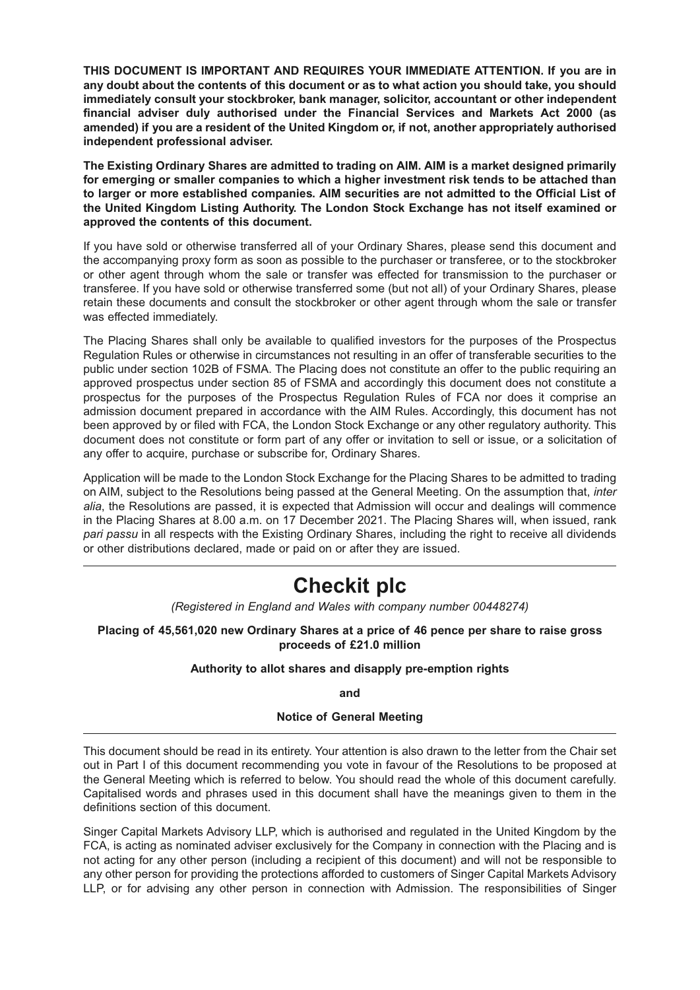**THIS DOCUMENT IS IMPORTANT AND REQUIRES YOUR IMMEDIATE ATTENTION. If you are in any doubt about the contents of this document or as to what action you should take, you should immediately consult your stockbroker, bank manager, solicitor, accountant or other independent financial adviser duly authorised under the Financial Services and Markets Act 2000 (as amended) if you are a resident of the United Kingdom or, if not, another appropriately authorised independent professional adviser.**

**The Existing Ordinary Shares are admitted to trading on AIM. AIM is a market designed primarily for emerging or smaller companies to which a higher investment risk tends to be attached than to larger or more established companies. AIM securities are not admitted to the Official List of the United Kingdom Listing Authority. The London Stock Exchange has not itself examined or approved the contents of this document.** 

If you have sold or otherwise transferred all of your Ordinary Shares, please send this document and the accompanying proxy form as soon as possible to the purchaser or transferee, or to the stockbroker or other agent through whom the sale or transfer was effected for transmission to the purchaser or transferee. If you have sold or otherwise transferred some (but not all) of your Ordinary Shares, please retain these documents and consult the stockbroker or other agent through whom the sale or transfer was effected immediately.

The Placing Shares shall only be available to qualified investors for the purposes of the Prospectus Regulation Rules or otherwise in circumstances not resulting in an offer of transferable securities to the public under section 102B of FSMA. The Placing does not constitute an offer to the public requiring an approved prospectus under section 85 of FSMA and accordingly this document does not constitute a prospectus for the purposes of the Prospectus Regulation Rules of FCA nor does it comprise an admission document prepared in accordance with the AIM Rules. Accordingly, this document has not been approved by or filed with FCA, the London Stock Exchange or any other regulatory authority. This document does not constitute or form part of any offer or invitation to sell or issue, or a solicitation of any offer to acquire, purchase or subscribe for, Ordinary Shares.

Application will be made to the London Stock Exchange for the Placing Shares to be admitted to trading on AIM, subject to the Resolutions being passed at the General Meeting. On the assumption that, *inter alia*, the Resolutions are passed, it is expected that Admission will occur and dealings will commence in the Placing Shares at 8.00 a.m. on 17 December 2021. The Placing Shares will, when issued, rank *pari passu* in all respects with the Existing Ordinary Shares, including the right to receive all dividends or other distributions declared, made or paid on or after they are issued.

# **Checkit plc**

*(Registered in England and Wales with company number 00448274)*

**Placing of 45,561,020 new Ordinary Shares at a price of 46 pence per share to raise gross proceeds of £21.0 million**

## **Authority to allot shares and disapply pre-emption rights**

**and**

## **Notice of General Meeting**

This document should be read in its entirety. Your attention is also drawn to the letter from the Chair set out in Part I of this document recommending you vote in favour of the Resolutions to be proposed at the General Meeting which is referred to below. You should read the whole of this document carefully. Capitalised words and phrases used in this document shall have the meanings given to them in the definitions section of this document.

Singer Capital Markets Advisory LLP, which is authorised and regulated in the United Kingdom by the FCA, is acting as nominated adviser exclusively for the Company in connection with the Placing and is not acting for any other person (including a recipient of this document) and will not be responsible to any other person for providing the protections afforded to customers of Singer Capital Markets Advisory LLP, or for advising any other person in connection with Admission. The responsibilities of Singer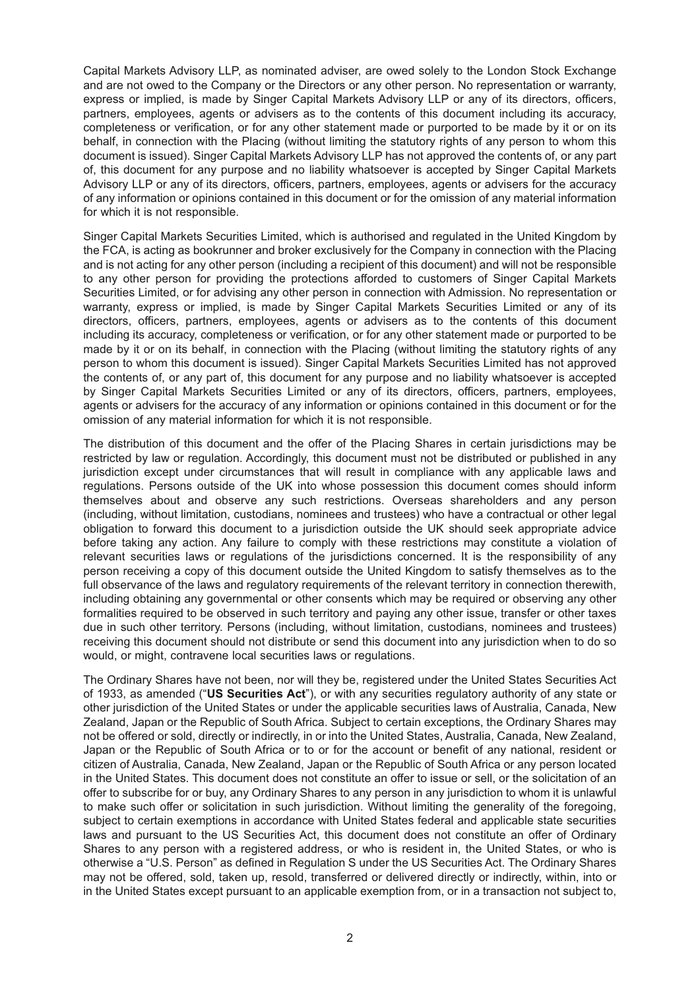Capital Markets Advisory LLP, as nominated adviser, are owed solely to the London Stock Exchange and are not owed to the Company or the Directors or any other person. No representation or warranty, express or implied, is made by Singer Capital Markets Advisory LLP or any of its directors, officers, partners, employees, agents or advisers as to the contents of this document including its accuracy, completeness or verification, or for any other statement made or purported to be made by it or on its behalf, in connection with the Placing (without limiting the statutory rights of any person to whom this document is issued). Singer Capital Markets Advisory LLP has not approved the contents of, or any part of, this document for any purpose and no liability whatsoever is accepted by Singer Capital Markets Advisory LLP or any of its directors, officers, partners, employees, agents or advisers for the accuracy of any information or opinions contained in this document or for the omission of any material information for which it is not responsible.

Singer Capital Markets Securities Limited, which is authorised and regulated in the United Kingdom by the FCA, is acting as bookrunner and broker exclusively for the Company in connection with the Placing and is not acting for any other person (including a recipient of this document) and will not be responsible to any other person for providing the protections afforded to customers of Singer Capital Markets Securities Limited, or for advising any other person in connection with Admission. No representation or warranty, express or implied, is made by Singer Capital Markets Securities Limited or any of its directors, officers, partners, employees, agents or advisers as to the contents of this document including its accuracy, completeness or verification, or for any other statement made or purported to be made by it or on its behalf, in connection with the Placing (without limiting the statutory rights of any person to whom this document is issued). Singer Capital Markets Securities Limited has not approved the contents of, or any part of, this document for any purpose and no liability whatsoever is accepted by Singer Capital Markets Securities Limited or any of its directors, officers, partners, employees, agents or advisers for the accuracy of any information or opinions contained in this document or for the omission of any material information for which it is not responsible.

The distribution of this document and the offer of the Placing Shares in certain jurisdictions may be restricted by law or regulation. Accordingly, this document must not be distributed or published in any jurisdiction except under circumstances that will result in compliance with any applicable laws and regulations. Persons outside of the UK into whose possession this document comes should inform themselves about and observe any such restrictions. Overseas shareholders and any person (including, without limitation, custodians, nominees and trustees) who have a contractual or other legal obligation to forward this document to a jurisdiction outside the UK should seek appropriate advice before taking any action. Any failure to comply with these restrictions may constitute a violation of relevant securities laws or regulations of the jurisdictions concerned. It is the responsibility of any person receiving a copy of this document outside the United Kingdom to satisfy themselves as to the full observance of the laws and regulatory requirements of the relevant territory in connection therewith, including obtaining any governmental or other consents which may be required or observing any other formalities required to be observed in such territory and paying any other issue, transfer or other taxes due in such other territory. Persons (including, without limitation, custodians, nominees and trustees) receiving this document should not distribute or send this document into any jurisdiction when to do so would, or might, contravene local securities laws or regulations.

The Ordinary Shares have not been, nor will they be, registered under the United States Securities Act of 1933, as amended ("**US Securities Act**"), or with any securities regulatory authority of any state or other jurisdiction of the United States or under the applicable securities laws of Australia, Canada, New Zealand, Japan or the Republic of South Africa. Subject to certain exceptions, the Ordinary Shares may not be offered or sold, directly or indirectly, in or into the United States, Australia, Canada, New Zealand, Japan or the Republic of South Africa or to or for the account or benefit of any national, resident or citizen of Australia, Canada, New Zealand, Japan or the Republic of South Africa or any person located in the United States. This document does not constitute an offer to issue or sell, or the solicitation of an offer to subscribe for or buy, any Ordinary Shares to any person in any jurisdiction to whom it is unlawful to make such offer or solicitation in such jurisdiction. Without limiting the generality of the foregoing, subject to certain exemptions in accordance with United States federal and applicable state securities laws and pursuant to the US Securities Act, this document does not constitute an offer of Ordinary Shares to any person with a registered address, or who is resident in, the United States, or who is otherwise a "U.S. Person" as defined in Regulation S under the US Securities Act. The Ordinary Shares may not be offered, sold, taken up, resold, transferred or delivered directly or indirectly, within, into or in the United States except pursuant to an applicable exemption from, or in a transaction not subject to,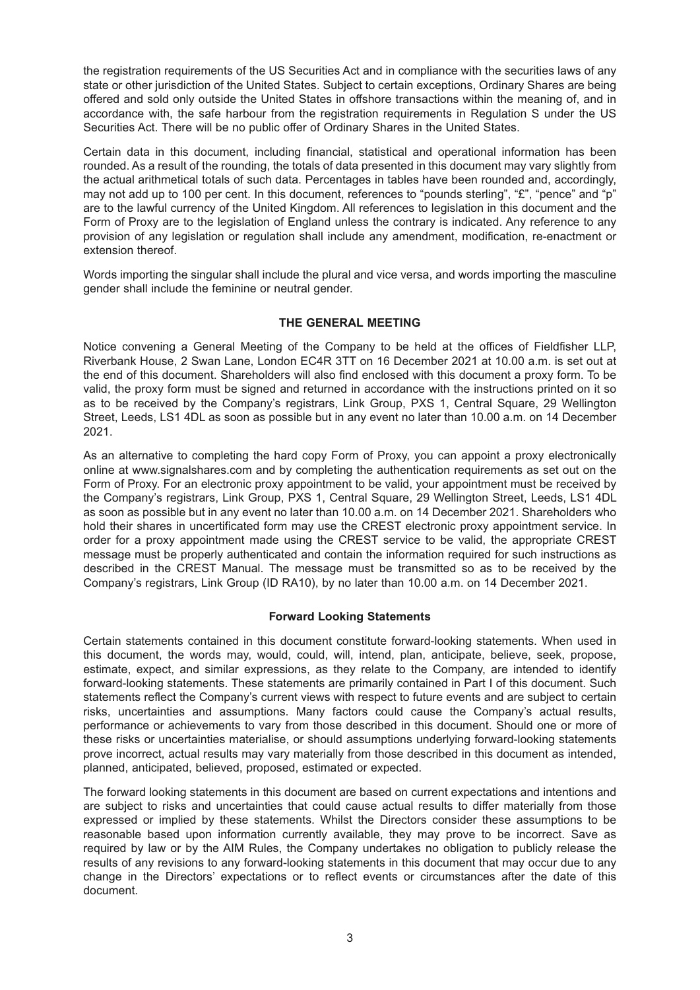the registration requirements of the US Securities Act and in compliance with the securities laws of any state or other jurisdiction of the United States. Subject to certain exceptions, Ordinary Shares are being offered and sold only outside the United States in offshore transactions within the meaning of, and in accordance with, the safe harbour from the registration requirements in Regulation S under the US Securities Act. There will be no public offer of Ordinary Shares in the United States.

Certain data in this document, including financial, statistical and operational information has been rounded. As a result of the rounding, the totals of data presented in this document may vary slightly from the actual arithmetical totals of such data. Percentages in tables have been rounded and, accordingly, may not add up to 100 per cent. In this document, references to "pounds sterling", "£", "pence" and "p" are to the lawful currency of the United Kingdom. All references to legislation in this document and the Form of Proxy are to the legislation of England unless the contrary is indicated. Any reference to any provision of any legislation or regulation shall include any amendment, modification, re-enactment or extension thereof.

Words importing the singular shall include the plural and vice versa, and words importing the masculine gender shall include the feminine or neutral gender.

## **THE GENERAL MEETING**

Notice convening a General Meeting of the Company to be held at the offices of Fieldfisher LLP, Riverbank House, 2 Swan Lane, London EC4R 3TT on 16 December 2021 at 10.00 a.m. is set out at the end of this document. Shareholders will also find enclosed with this document a proxy form. To be valid, the proxy form must be signed and returned in accordance with the instructions printed on it so as to be received by the Company's registrars, Link Group, PXS 1, Central Square, 29 Wellington Street, Leeds, LS1 4DL as soon as possible but in any event no later than 10.00 a.m. on 14 December 2021.

As an alternative to completing the hard copy Form of Proxy, you can appoint a proxy electronically online at www.signalshares.com and by completing the authentication requirements as set out on the Form of Proxy. For an electronic proxy appointment to be valid, your appointment must be received by the Company's registrars, Link Group, PXS 1, Central Square, 29 Wellington Street, Leeds, LS1 4DL as soon as possible but in any event no later than 10.00 a.m. on 14 December 2021. Shareholders who hold their shares in uncertificated form may use the CREST electronic proxy appointment service. In order for a proxy appointment made using the CREST service to be valid, the appropriate CREST message must be properly authenticated and contain the information required for such instructions as described in the CREST Manual. The message must be transmitted so as to be received by the Company's registrars, Link Group (ID RA10), by no later than 10.00 a.m. on 14 December 2021.

## **Forward Looking Statements**

Certain statements contained in this document constitute forward-looking statements. When used in this document, the words may, would, could, will, intend, plan, anticipate, believe, seek, propose, estimate, expect, and similar expressions, as they relate to the Company, are intended to identify forward-looking statements. These statements are primarily contained in Part I of this document. Such statements reflect the Company's current views with respect to future events and are subject to certain risks, uncertainties and assumptions. Many factors could cause the Company's actual results, performance or achievements to vary from those described in this document. Should one or more of these risks or uncertainties materialise, or should assumptions underlying forward-looking statements prove incorrect, actual results may vary materially from those described in this document as intended, planned, anticipated, believed, proposed, estimated or expected.

The forward looking statements in this document are based on current expectations and intentions and are subject to risks and uncertainties that could cause actual results to differ materially from those expressed or implied by these statements. Whilst the Directors consider these assumptions to be reasonable based upon information currently available, they may prove to be incorrect. Save as required by law or by the AIM Rules, the Company undertakes no obligation to publicly release the results of any revisions to any forward-looking statements in this document that may occur due to any change in the Directors' expectations or to reflect events or circumstances after the date of this document.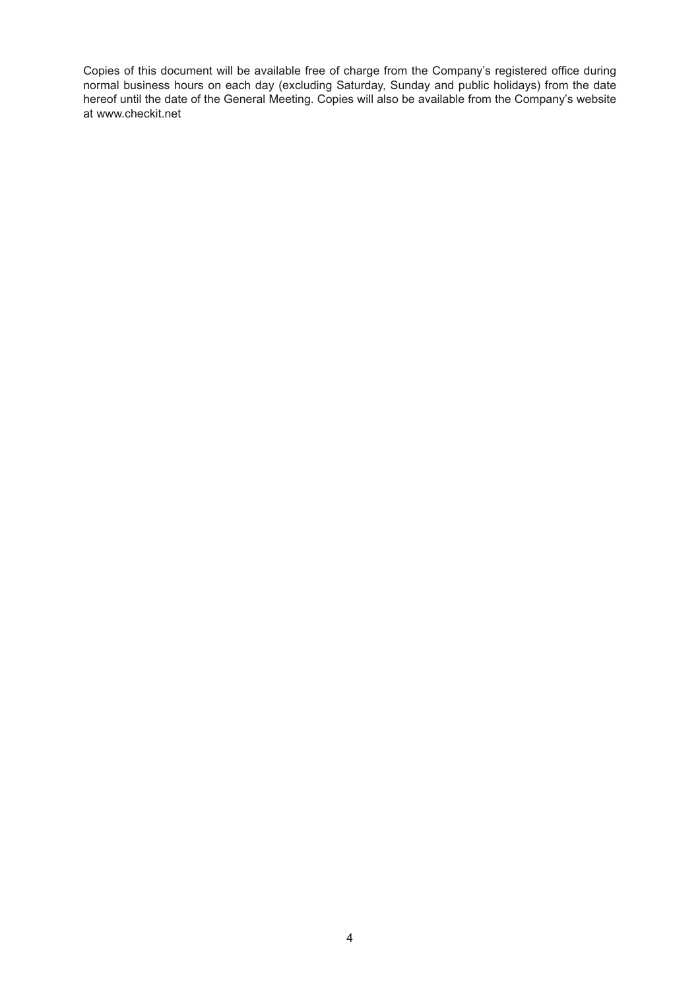Copies of this document will be available free of charge from the Company's registered office during normal business hours on each day (excluding Saturday, Sunday and public holidays) from the date hereof until the date of the General Meeting. Copies will also be available from the Company's website at www.checkit.net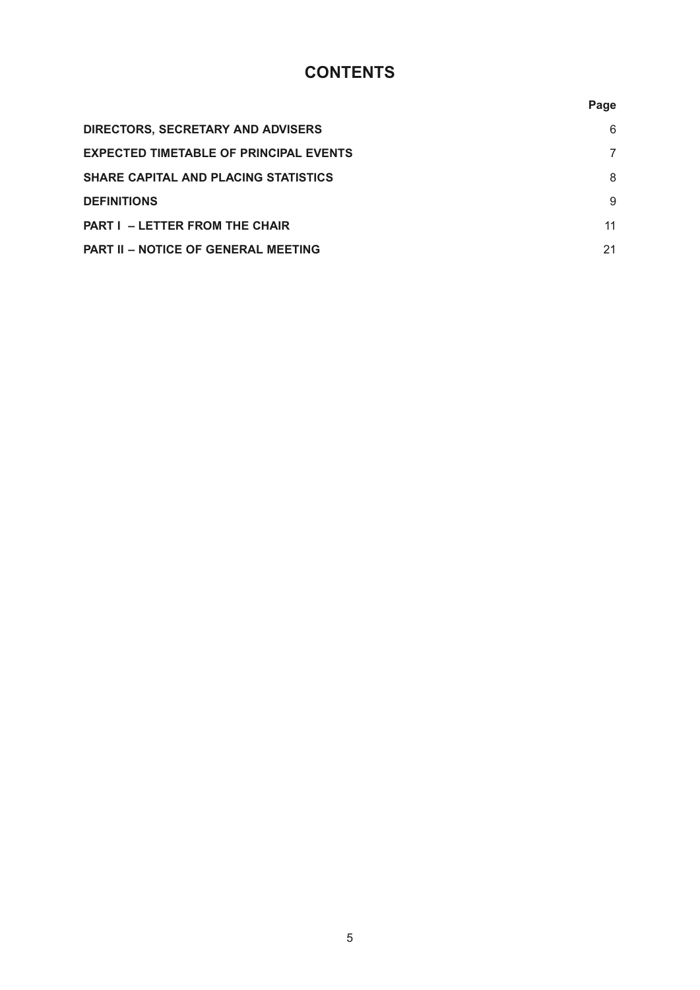# **CONTENTS**

|                                               | Page |
|-----------------------------------------------|------|
| DIRECTORS, SECRETARY AND ADVISERS             | 6    |
| <b>EXPECTED TIMETABLE OF PRINCIPAL EVENTS</b> | 7    |
| <b>SHARE CAPITAL AND PLACING STATISTICS</b>   | 8    |
| <b>DEFINITIONS</b>                            | 9    |
| <b>PART I - LETTER FROM THE CHAIR</b>         | 11   |
| <b>PART II - NOTICE OF GENERAL MEETING</b>    | 21   |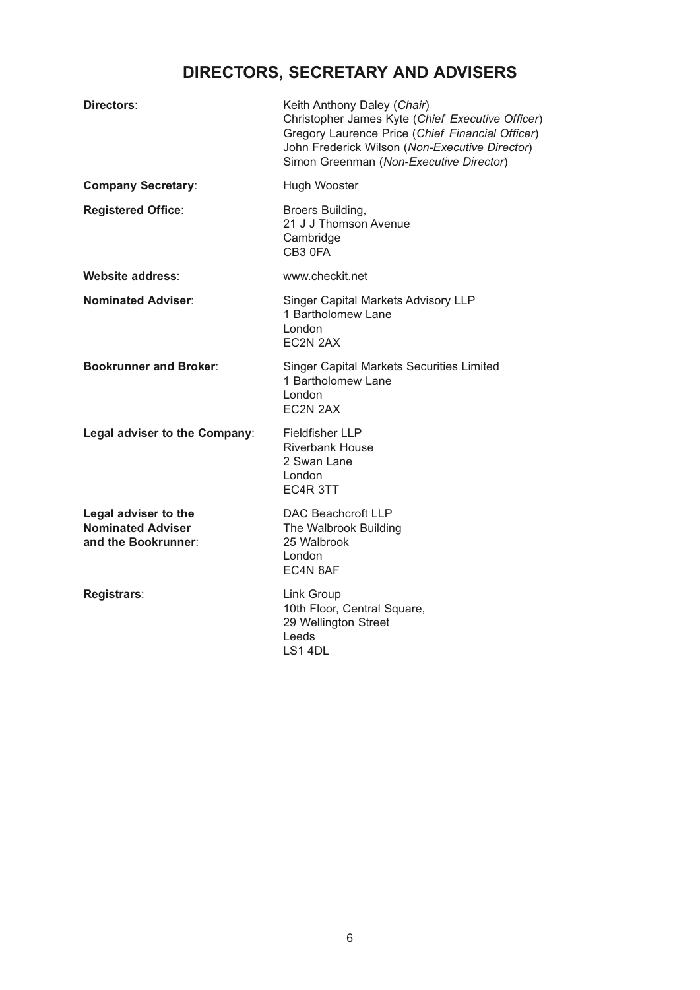# **DIRECTORS, SECRETARY AND ADVISERS**

| Directors:                                                              | Keith Anthony Daley (Chair)<br>Christopher James Kyte (Chief Executive Officer)<br>Gregory Laurence Price (Chief Financial Officer)<br>John Frederick Wilson (Non-Executive Director)<br>Simon Greenman (Non-Executive Director) |
|-------------------------------------------------------------------------|----------------------------------------------------------------------------------------------------------------------------------------------------------------------------------------------------------------------------------|
| <b>Company Secretary:</b>                                               | Hugh Wooster                                                                                                                                                                                                                     |
| <b>Registered Office:</b>                                               | Broers Building,<br>21 J J Thomson Avenue<br>Cambridge<br>CB3 0FA                                                                                                                                                                |
| Website address:                                                        | www.checkit.net                                                                                                                                                                                                                  |
| <b>Nominated Adviser:</b>                                               | Singer Capital Markets Advisory LLP<br>1 Bartholomew Lane<br>London<br>EC2N 2AX                                                                                                                                                  |
| <b>Bookrunner and Broker:</b>                                           | <b>Singer Capital Markets Securities Limited</b><br>1 Bartholomew Lane<br>London<br>EC2N 2AX                                                                                                                                     |
| Legal adviser to the Company:                                           | <b>Fieldfisher LLP</b><br><b>Riverbank House</b><br>2 Swan Lane<br>London<br>EC4R 3TT                                                                                                                                            |
| Legal adviser to the<br><b>Nominated Adviser</b><br>and the Bookrunner: | DAC Beachcroft LLP<br>The Walbrook Building<br>25 Walbrook<br>London<br>EC4N 8AF                                                                                                                                                 |
| Registrars:                                                             | Link Group<br>10th Floor, Central Square,<br>29 Wellington Street<br>Leeds<br>LS1 4DL                                                                                                                                            |
|                                                                         |                                                                                                                                                                                                                                  |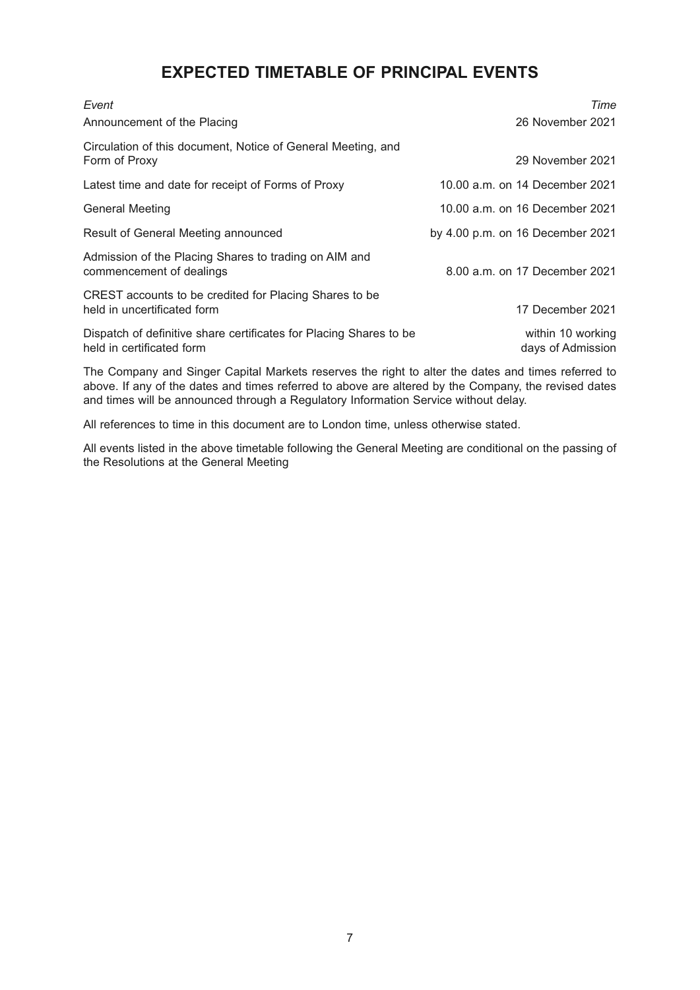## **EXPECTED TIMETABLE OF PRINCIPAL EVENTS**

| Event                                                                                           | Time                                   |
|-------------------------------------------------------------------------------------------------|----------------------------------------|
| Announcement of the Placing                                                                     | 26 November 2021                       |
| Circulation of this document, Notice of General Meeting, and<br>Form of Proxy                   | 29 November 2021                       |
| Latest time and date for receipt of Forms of Proxy                                              | 10.00 a.m. on 14 December 2021         |
| <b>General Meeting</b>                                                                          | 10.00 a.m. on 16 December 2021         |
| Result of General Meeting announced                                                             | by 4.00 p.m. on 16 December 2021       |
| Admission of the Placing Shares to trading on AIM and<br>commencement of dealings               | 8.00 a.m. on 17 December 2021          |
| CREST accounts to be credited for Placing Shares to be<br>held in uncertificated form           | 17 December 2021                       |
| Dispatch of definitive share certificates for Placing Shares to be<br>held in certificated form | within 10 working<br>days of Admission |

The Company and Singer Capital Markets reserves the right to alter the dates and times referred to above. If any of the dates and times referred to above are altered by the Company, the revised dates and times will be announced through a Regulatory Information Service without delay.

All references to time in this document are to London time, unless otherwise stated.

All events listed in the above timetable following the General Meeting are conditional on the passing of the Resolutions at the General Meeting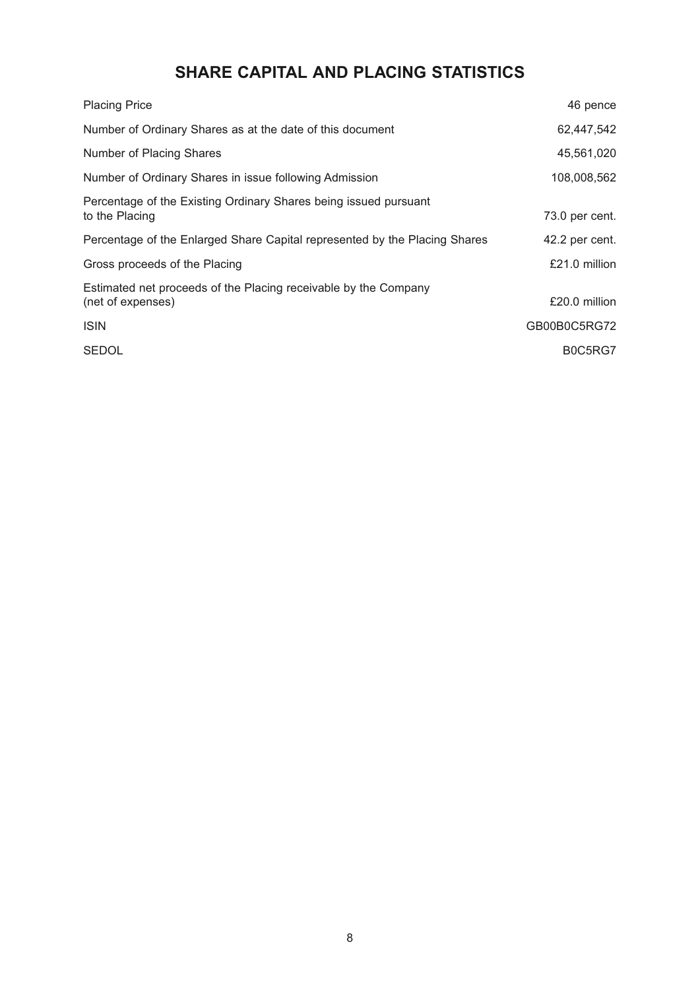# **SHARE CAPITAL AND PLACING STATISTICS**

| <b>Placing Price</b>                                                                 | 46 pence       |
|--------------------------------------------------------------------------------------|----------------|
| Number of Ordinary Shares as at the date of this document                            | 62,447,542     |
| Number of Placing Shares                                                             | 45,561,020     |
| Number of Ordinary Shares in issue following Admission                               | 108,008,562    |
| Percentage of the Existing Ordinary Shares being issued pursuant<br>to the Placing   | 73.0 per cent. |
| Percentage of the Enlarged Share Capital represented by the Placing Shares           | 42.2 per cent. |
| Gross proceeds of the Placing                                                        | £21.0 million  |
| Estimated net proceeds of the Placing receivable by the Company<br>(net of expenses) | £20.0 million  |
| <b>ISIN</b>                                                                          | GB00B0C5RG72   |
| <b>SEDOL</b>                                                                         | B0C5RG7        |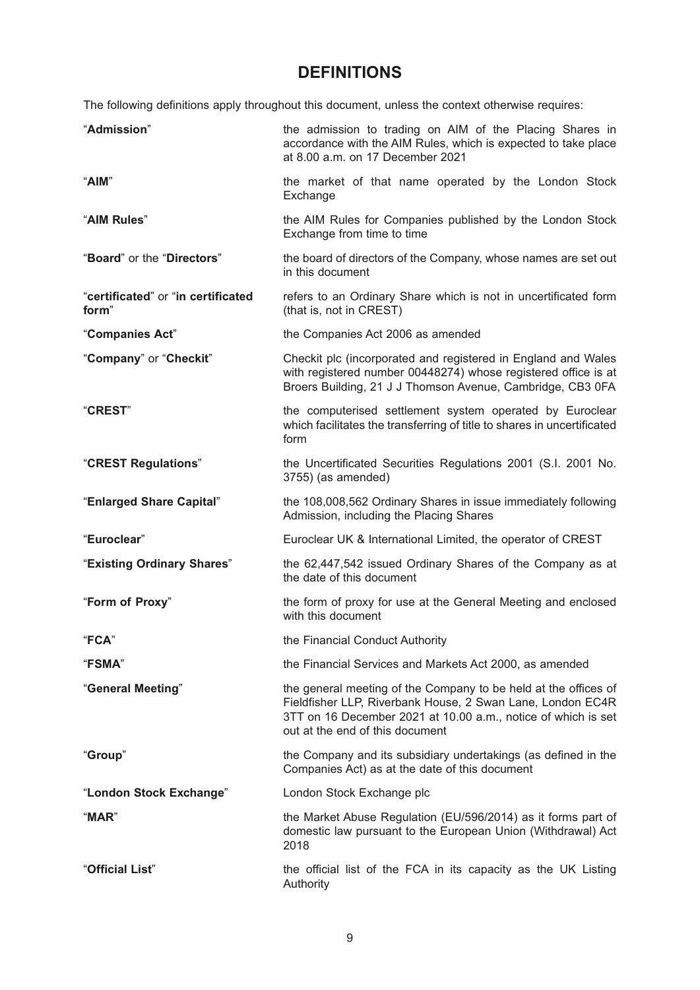# **DEFINITIONS**

The following definitions apply throughout this document, unless the context otherwise requires:

| "Admission"                                 | the admission to trading on AIM of the Placing Shares in<br>accordance with the AIM Rules, which is expected to take place<br>at 8.00 a.m. on 17 December 2021                                                                    |  |  |
|---------------------------------------------|-----------------------------------------------------------------------------------------------------------------------------------------------------------------------------------------------------------------------------------|--|--|
| "AIM"                                       | the market of that name operated by the London Stock<br>Exchange                                                                                                                                                                  |  |  |
| "AIM Rules"                                 | the AIM Rules for Companies published by the London Stock<br>Exchange from time to time                                                                                                                                           |  |  |
| "Board" or the "Directors"                  | the board of directors of the Company, whose names are set out<br>in this document                                                                                                                                                |  |  |
| "certificated" or "in certificated<br>form" | refers to an Ordinary Share which is not in uncertificated form<br>(that is, not in CREST)                                                                                                                                        |  |  |
| "Companies Act"                             | the Companies Act 2006 as amended                                                                                                                                                                                                 |  |  |
| "Company" or "Checkit"                      | Checkit plc (incorporated and registered in England and Wales<br>with registered number 00448274) whose registered office is at<br>Broers Building, 21 J J Thomson Avenue, Cambridge, CB3 0FA                                     |  |  |
| "CREST"                                     | the computerised settlement system operated by Euroclear<br>which facilitates the transferring of title to shares in uncertificated<br>form                                                                                       |  |  |
| "CREST Regulations"                         | the Uncertificated Securities Regulations 2001 (S.I. 2001 No.<br>3755) (as amended)                                                                                                                                               |  |  |
| "Enlarged Share Capital"                    | the 108,008,562 Ordinary Shares in issue immediately following<br>Admission, including the Placing Shares                                                                                                                         |  |  |
| "Euroclear"                                 | Euroclear UK & International Limited, the operator of CREST                                                                                                                                                                       |  |  |
| "Existing Ordinary Shares"                  | the 62,447,542 issued Ordinary Shares of the Company as at<br>the date of this document                                                                                                                                           |  |  |
| "Form of Proxy"                             | the form of proxy for use at the General Meeting and enclosed<br>with this document                                                                                                                                               |  |  |
| "FCA"                                       | the Financial Conduct Authority                                                                                                                                                                                                   |  |  |
| <b>"FSMA"</b>                               | the Financial Services and Markets Act 2000, as amended                                                                                                                                                                           |  |  |
| "General Meeting"                           | the general meeting of the Company to be held at the offices of<br>Fieldfisher LLP, Riverbank House, 2 Swan Lane, London EC4R<br>3TT on 16 December 2021 at 10.00 a.m., notice of which is set<br>out at the end of this document |  |  |
| "Group"                                     | the Company and its subsidiary undertakings (as defined in the<br>Companies Act) as at the date of this document                                                                                                                  |  |  |
| "London Stock Exchange"                     | London Stock Exchange plc                                                                                                                                                                                                         |  |  |
| "MAR"                                       | the Market Abuse Regulation (EU/596/2014) as it forms part of<br>domestic law pursuant to the European Union (Withdrawal) Act<br>2018                                                                                             |  |  |
| "Official List"                             | the official list of the FCA in its capacity as the UK Listing<br>Authority                                                                                                                                                       |  |  |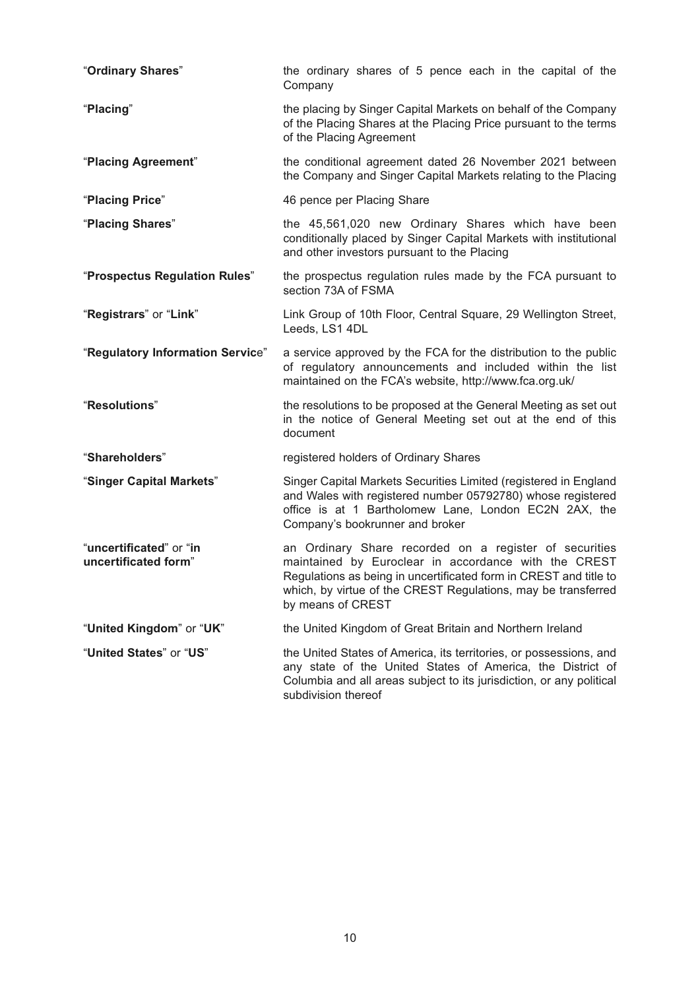| "Ordinary Shares"                               | the ordinary shares of 5 pence each in the capital of the<br>Company                                                                                                                                                                                                      |
|-------------------------------------------------|---------------------------------------------------------------------------------------------------------------------------------------------------------------------------------------------------------------------------------------------------------------------------|
| "Placing"                                       | the placing by Singer Capital Markets on behalf of the Company<br>of the Placing Shares at the Placing Price pursuant to the terms<br>of the Placing Agreement                                                                                                            |
| "Placing Agreement"                             | the conditional agreement dated 26 November 2021 between<br>the Company and Singer Capital Markets relating to the Placing                                                                                                                                                |
| "Placing Price"                                 | 46 pence per Placing Share                                                                                                                                                                                                                                                |
| "Placing Shares"                                | the 45,561,020 new Ordinary Shares which have been<br>conditionally placed by Singer Capital Markets with institutional<br>and other investors pursuant to the Placing                                                                                                    |
| "Prospectus Regulation Rules"                   | the prospectus regulation rules made by the FCA pursuant to<br>section 73A of FSMA                                                                                                                                                                                        |
| "Registrars" or "Link"                          | Link Group of 10th Floor, Central Square, 29 Wellington Street,<br>Leeds, LS1 4DL                                                                                                                                                                                         |
| "Regulatory Information Service"                | a service approved by the FCA for the distribution to the public<br>of regulatory announcements and included within the list<br>maintained on the FCA's website, http://www.fca.org.uk/                                                                                   |
| "Resolutions"                                   | the resolutions to be proposed at the General Meeting as set out<br>in the notice of General Meeting set out at the end of this<br>document                                                                                                                               |
| "Shareholders"                                  | registered holders of Ordinary Shares                                                                                                                                                                                                                                     |
| "Singer Capital Markets"                        | Singer Capital Markets Securities Limited (registered in England<br>and Wales with registered number 05792780) whose registered<br>office is at 1 Bartholomew Lane, London EC2N 2AX, the<br>Company's bookrunner and broker                                               |
| "uncertificated" or "in<br>uncertificated form" | an Ordinary Share recorded on a register of securities<br>maintained by Euroclear in accordance with the CREST<br>Regulations as being in uncertificated form in CREST and title to<br>which, by virtue of the CREST Regulations, may be transferred<br>by means of CREST |
| "United Kingdom" or "UK"                        | the United Kingdom of Great Britain and Northern Ireland                                                                                                                                                                                                                  |
| "United States" or "US"                         | the United States of America, its territories, or possessions, and<br>any state of the United States of America, the District of<br>Columbia and all areas subject to its jurisdiction, or any political<br>subdivision thereof                                           |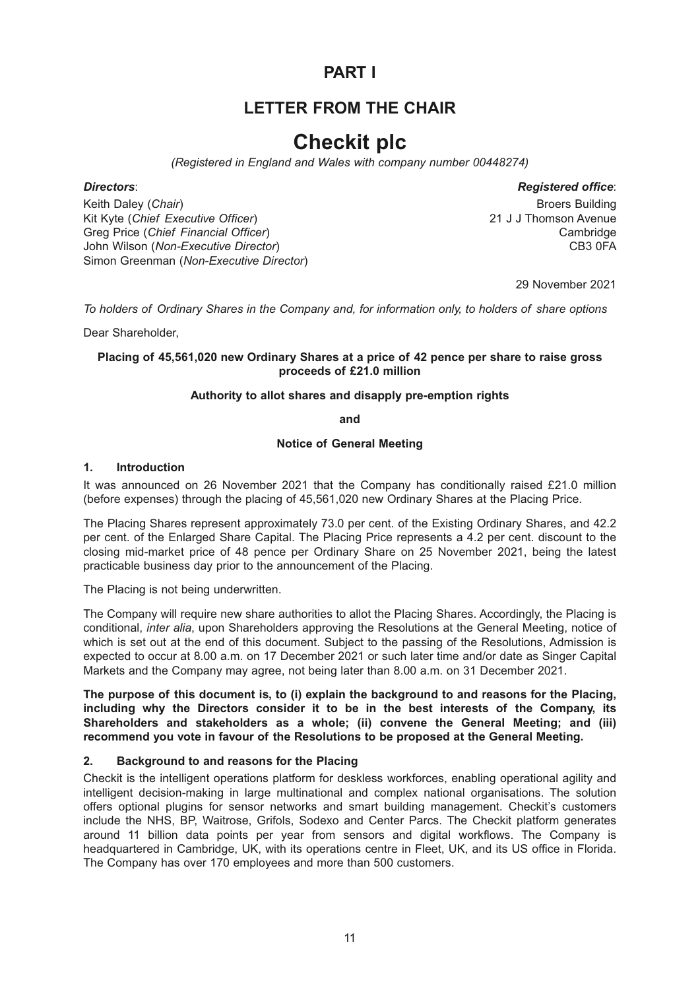# **PART I**

# **LETTER FROM THE CHAIR**

# **Checkit plc**

*(Registered in England and Wales with company number 00448274)*

#### *Directors*: *Registered office*:

Keith Daley (*Chair*) **Broers Building Broers Building Broers Building Broers Building** Kit Kyte (*Chief Executive Officer*) 21 J J Thomson Avenue Greg Price (*Chief Financial Officer*)<br>John Wilson (*Non-Executive Director*) Cambridge CB3 0FA John Wilson (Non-Executive Director) Simon Greenman (*Non-Executive Director*)

29 November 2021

*To holders of Ordinary Shares in the Company and, for information only, to holders of share options*

Dear Shareholder,

## **Placing of 45,561,020 new Ordinary Shares at a price of 42 pence per share to raise gross proceeds of £21.0 million**

#### **Authority to allot shares and disapply pre-emption rights**

**and**

#### **Notice of General Meeting**

#### **1. Introduction**

It was announced on 26 November 2021 that the Company has conditionally raised £21.0 million (before expenses) through the placing of 45,561,020 new Ordinary Shares at the Placing Price.

The Placing Shares represent approximately 73.0 per cent. of the Existing Ordinary Shares, and 42.2 per cent. of the Enlarged Share Capital. The Placing Price represents a 4.2 per cent. discount to the closing mid-market price of 48 pence per Ordinary Share on 25 November 2021, being the latest practicable business day prior to the announcement of the Placing.

The Placing is not being underwritten.

The Company will require new share authorities to allot the Placing Shares. Accordingly, the Placing is conditional, *inter alia*, upon Shareholders approving the Resolutions at the General Meeting, notice of which is set out at the end of this document. Subject to the passing of the Resolutions, Admission is expected to occur at 8.00 a.m. on 17 December 2021 or such later time and/or date as Singer Capital Markets and the Company may agree, not being later than 8.00 a.m. on 31 December 2021.

**The purpose of this document is, to (i) explain the background to and reasons for the Placing, including why the Directors consider it to be in the best interests of the Company, its Shareholders and stakeholders as a whole; (ii) convene the General Meeting; and (iii) recommend you vote in favour of the Resolutions to be proposed at the General Meeting.**

## **2. Background to and reasons for the Placing**

Checkit is the intelligent operations platform for deskless workforces, enabling operational agility and intelligent decision-making in large multinational and complex national organisations. The solution offers optional plugins for sensor networks and smart building management. Checkit's customers include the NHS, BP, Waitrose, Grifols, Sodexo and Center Parcs. The Checkit platform generates around 11 billion data points per year from sensors and digital workflows. The Company is headquartered in Cambridge, UK, with its operations centre in Fleet, UK, and its US office in Florida. The Company has over 170 employees and more than 500 customers.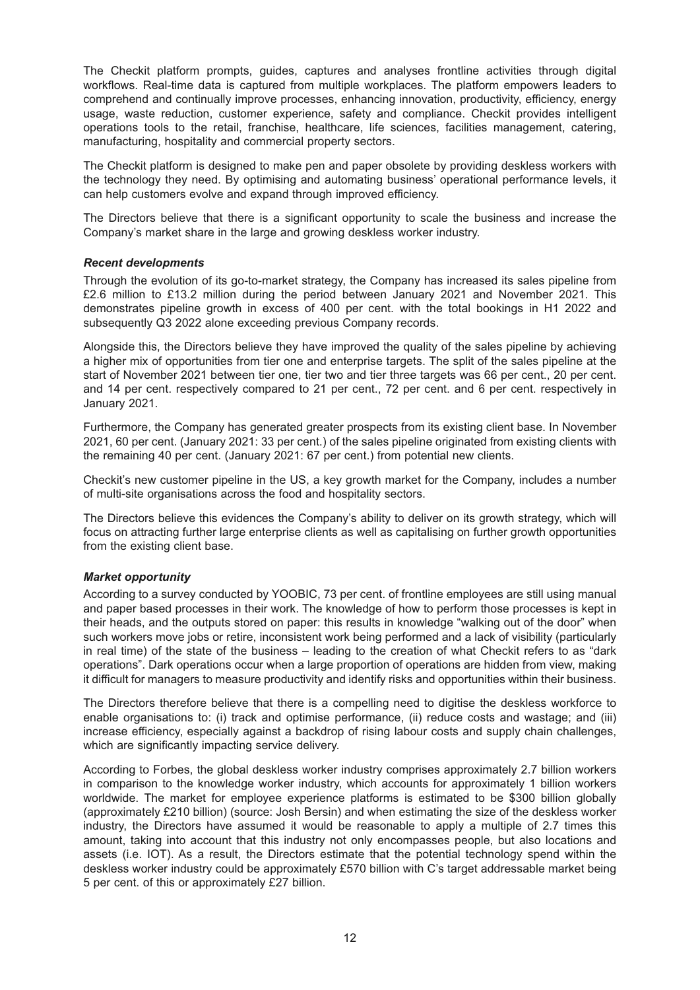The Checkit platform prompts, guides, captures and analyses frontline activities through digital workflows. Real-time data is captured from multiple workplaces. The platform empowers leaders to comprehend and continually improve processes, enhancing innovation, productivity, efficiency, energy usage, waste reduction, customer experience, safety and compliance. Checkit provides intelligent operations tools to the retail, franchise, healthcare, life sciences, facilities management, catering, manufacturing, hospitality and commercial property sectors.

The Checkit platform is designed to make pen and paper obsolete by providing deskless workers with the technology they need. By optimising and automating business' operational performance levels, it can help customers evolve and expand through improved efficiency.

The Directors believe that there is a significant opportunity to scale the business and increase the Company's market share in the large and growing deskless worker industry.

#### *Recent developments*

Through the evolution of its go-to-market strategy, the Company has increased its sales pipeline from £2.6 million to £13.2 million during the period between January 2021 and November 2021. This demonstrates pipeline growth in excess of 400 per cent. with the total bookings in H1 2022 and subsequently Q3 2022 alone exceeding previous Company records.

Alongside this, the Directors believe they have improved the quality of the sales pipeline by achieving a higher mix of opportunities from tier one and enterprise targets. The split of the sales pipeline at the start of November 2021 between tier one, tier two and tier three targets was 66 per cent., 20 per cent. and 14 per cent. respectively compared to 21 per cent., 72 per cent. and 6 per cent. respectively in January 2021.

Furthermore, the Company has generated greater prospects from its existing client base. In November 2021, 60 per cent. (January 2021: 33 per cent.) of the sales pipeline originated from existing clients with the remaining 40 per cent. (January 2021: 67 per cent.) from potential new clients.

Checkit's new customer pipeline in the US, a key growth market for the Company, includes a number of multi-site organisations across the food and hospitality sectors.

The Directors believe this evidences the Company's ability to deliver on its growth strategy, which will focus on attracting further large enterprise clients as well as capitalising on further growth opportunities from the existing client base.

## *Market opportunity*

According to a survey conducted by YOOBIC, 73 per cent. of frontline employees are still using manual and paper based processes in their work. The knowledge of how to perform those processes is kept in their heads, and the outputs stored on paper: this results in knowledge "walking out of the door" when such workers move jobs or retire, inconsistent work being performed and a lack of visibility (particularly in real time) of the state of the business – leading to the creation of what Checkit refers to as "dark operations". Dark operations occur when a large proportion of operations are hidden from view, making it difficult for managers to measure productivity and identify risks and opportunities within their business.

The Directors therefore believe that there is a compelling need to digitise the deskless workforce to enable organisations to: (i) track and optimise performance, (ii) reduce costs and wastage; and (iii) increase efficiency, especially against a backdrop of rising labour costs and supply chain challenges, which are significantly impacting service delivery.

According to Forbes, the global deskless worker industry comprises approximately 2.7 billion workers in comparison to the knowledge worker industry, which accounts for approximately 1 billion workers worldwide. The market for employee experience platforms is estimated to be \$300 billion globally (approximately £210 billion) (source: Josh Bersin) and when estimating the size of the deskless worker industry, the Directors have assumed it would be reasonable to apply a multiple of 2.7 times this amount, taking into account that this industry not only encompasses people, but also locations and assets (i.e. IOT). As a result, the Directors estimate that the potential technology spend within the deskless worker industry could be approximately £570 billion with C's target addressable market being 5 per cent. of this or approximately £27 billion.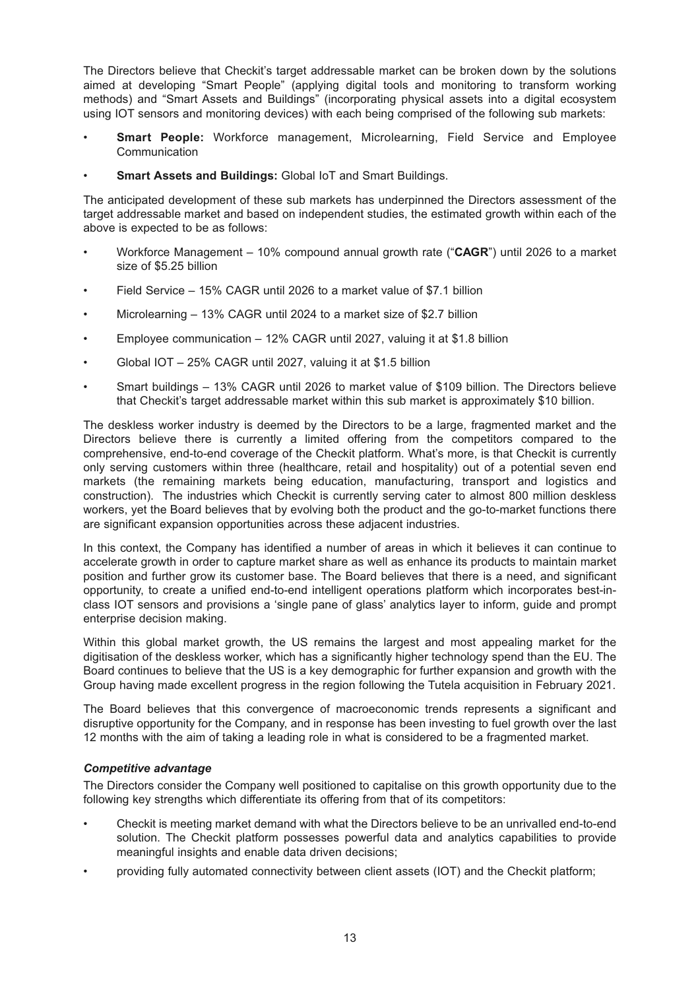The Directors believe that Checkit's target addressable market can be broken down by the solutions aimed at developing "Smart People" (applying digital tools and monitoring to transform working methods) and "Smart Assets and Buildings" (incorporating physical assets into a digital ecosystem using IOT sensors and monitoring devices) with each being comprised of the following sub markets:

- **Smart People:** Workforce management, Microlearning, Field Service and Employee **Communication**
- **Smart Assets and Buildings:** Global IoT and Smart Buildings.

The anticipated development of these sub markets has underpinned the Directors assessment of the target addressable market and based on independent studies, the estimated growth within each of the above is expected to be as follows:

- Workforce Management 10% compound annual growth rate ("**CAGR**") until 2026 to a market size of \$5.25 billion
- Field Service 15% CAGR until 2026 to a market value of \$7.1 billion
- Microlearning 13% CAGR until 2024 to a market size of \$2.7 billion
- Employee communication 12% CAGR until 2027, valuing it at \$1.8 billion
- Global IOT 25% CAGR until 2027, valuing it at \$1.5 billion
- Smart buildings 13% CAGR until 2026 to market value of \$109 billion. The Directors believe that Checkit's target addressable market within this sub market is approximately \$10 billion.

The deskless worker industry is deemed by the Directors to be a large, fragmented market and the Directors believe there is currently a limited offering from the competitors compared to the comprehensive, end-to-end coverage of the Checkit platform. What's more, is that Checkit is currently only serving customers within three (healthcare, retail and hospitality) out of a potential seven end markets (the remaining markets being education, manufacturing, transport and logistics and construction). The industries which Checkit is currently serving cater to almost 800 million deskless workers, yet the Board believes that by evolving both the product and the go-to-market functions there are significant expansion opportunities across these adjacent industries.

In this context, the Company has identified a number of areas in which it believes it can continue to accelerate growth in order to capture market share as well as enhance its products to maintain market position and further grow its customer base. The Board believes that there is a need, and significant opportunity, to create a unified end-to-end intelligent operations platform which incorporates best-inclass IOT sensors and provisions a 'single pane of glass' analytics layer to inform, guide and prompt enterprise decision making.

Within this global market growth, the US remains the largest and most appealing market for the digitisation of the deskless worker, which has a significantly higher technology spend than the EU. The Board continues to believe that the US is a key demographic for further expansion and growth with the Group having made excellent progress in the region following the Tutela acquisition in February 2021.

The Board believes that this convergence of macroeconomic trends represents a significant and disruptive opportunity for the Company, and in response has been investing to fuel growth over the last 12 months with the aim of taking a leading role in what is considered to be a fragmented market.

#### *Competitive advantage*

The Directors consider the Company well positioned to capitalise on this growth opportunity due to the following key strengths which differentiate its offering from that of its competitors:

- Checkit is meeting market demand with what the Directors believe to be an unrivalled end-to-end solution. The Checkit platform possesses powerful data and analytics capabilities to provide meaningful insights and enable data driven decisions;
- providing fully automated connectivity between client assets (IOT) and the Checkit platform;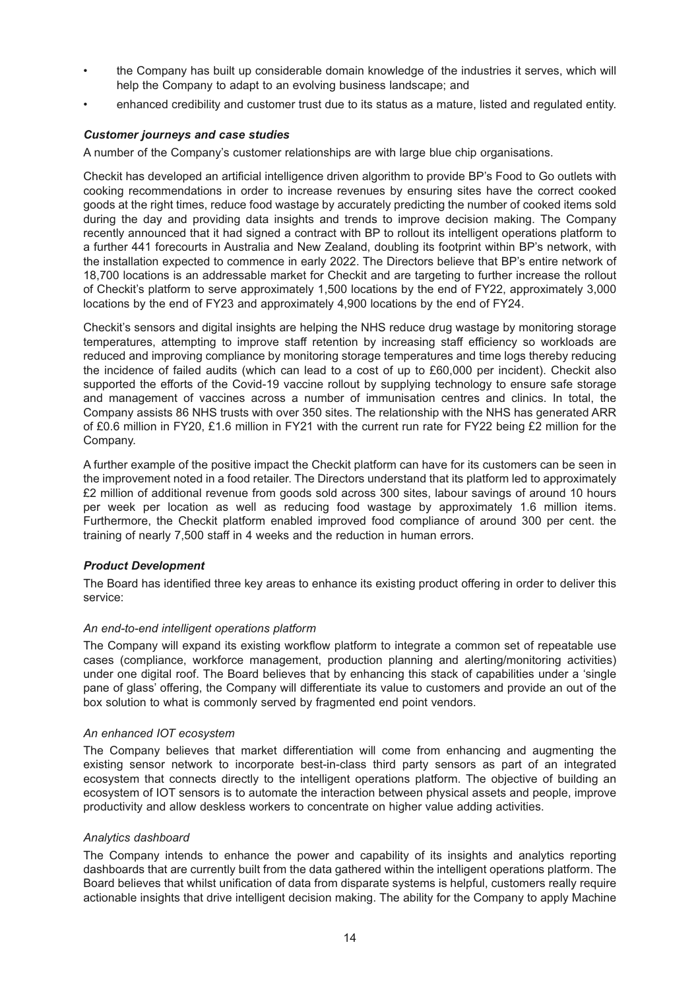- the Company has built up considerable domain knowledge of the industries it serves, which will help the Company to adapt to an evolving business landscape; and
- enhanced credibility and customer trust due to its status as a mature, listed and regulated entity.

## *Customer journeys and case studies*

A number of the Company's customer relationships are with large blue chip organisations.

Checkit has developed an artificial intelligence driven algorithm to provide BP's Food to Go outlets with cooking recommendations in order to increase revenues by ensuring sites have the correct cooked goods at the right times, reduce food wastage by accurately predicting the number of cooked items sold during the day and providing data insights and trends to improve decision making. The Company recently announced that it had signed a contract with BP to rollout its intelligent operations platform to a further 441 forecourts in Australia and New Zealand, doubling its footprint within BP's network, with the installation expected to commence in early 2022. The Directors believe that BP's entire network of 18,700 locations is an addressable market for Checkit and are targeting to further increase the rollout of Checkit's platform to serve approximately 1,500 locations by the end of FY22, approximately 3,000 locations by the end of FY23 and approximately 4,900 locations by the end of FY24.

Checkit's sensors and digital insights are helping the NHS reduce drug wastage by monitoring storage temperatures, attempting to improve staff retention by increasing staff efficiency so workloads are reduced and improving compliance by monitoring storage temperatures and time logs thereby reducing the incidence of failed audits (which can lead to a cost of up to £60,000 per incident). Checkit also supported the efforts of the Covid-19 vaccine rollout by supplying technology to ensure safe storage and management of vaccines across a number of immunisation centres and clinics. In total, the Company assists 86 NHS trusts with over 350 sites. The relationship with the NHS has generated ARR of £0.6 million in FY20, £1.6 million in FY21 with the current run rate for FY22 being £2 million for the Company.

A further example of the positive impact the Checkit platform can have for its customers can be seen in the improvement noted in a food retailer. The Directors understand that its platform led to approximately £2 million of additional revenue from goods sold across 300 sites, labour savings of around 10 hours per week per location as well as reducing food wastage by approximately 1.6 million items. Furthermore, the Checkit platform enabled improved food compliance of around 300 per cent. the training of nearly 7,500 staff in 4 weeks and the reduction in human errors.

## *Product Development*

The Board has identified three key areas to enhance its existing product offering in order to deliver this service:

#### *An end-to-end intelligent operations platform*

The Company will expand its existing workflow platform to integrate a common set of repeatable use cases (compliance, workforce management, production planning and alerting/monitoring activities) under one digital roof. The Board believes that by enhancing this stack of capabilities under a 'single pane of glass' offering, the Company will differentiate its value to customers and provide an out of the box solution to what is commonly served by fragmented end point vendors.

#### *An enhanced IOT ecosystem*

The Company believes that market differentiation will come from enhancing and augmenting the existing sensor network to incorporate best-in-class third party sensors as part of an integrated ecosystem that connects directly to the intelligent operations platform. The objective of building an ecosystem of IOT sensors is to automate the interaction between physical assets and people, improve productivity and allow deskless workers to concentrate on higher value adding activities.

#### *Analytics dashboard*

The Company intends to enhance the power and capability of its insights and analytics reporting dashboards that are currently built from the data gathered within the intelligent operations platform. The Board believes that whilst unification of data from disparate systems is helpful, customers really require actionable insights that drive intelligent decision making. The ability for the Company to apply Machine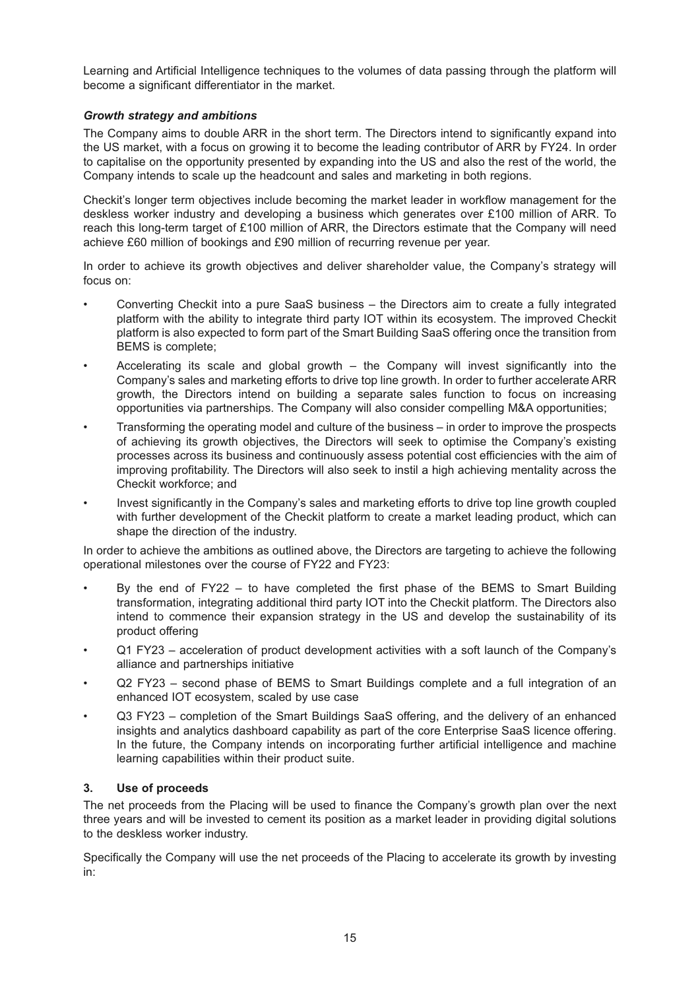Learning and Artificial Intelligence techniques to the volumes of data passing through the platform will become a significant differentiator in the market.

## *Growth strategy and ambitions*

The Company aims to double ARR in the short term. The Directors intend to significantly expand into the US market, with a focus on growing it to become the leading contributor of ARR by FY24. In order to capitalise on the opportunity presented by expanding into the US and also the rest of the world, the Company intends to scale up the headcount and sales and marketing in both regions.

Checkit's longer term objectives include becoming the market leader in workflow management for the deskless worker industry and developing a business which generates over £100 million of ARR. To reach this long-term target of £100 million of ARR, the Directors estimate that the Company will need achieve £60 million of bookings and £90 million of recurring revenue per year.

In order to achieve its growth objectives and deliver shareholder value, the Company's strategy will focus on:

- Converting Checkit into a pure SaaS business the Directors aim to create a fully integrated platform with the ability to integrate third party IOT within its ecosystem. The improved Checkit platform is also expected to form part of the Smart Building SaaS offering once the transition from BEMS is complete;
- Accelerating its scale and global growth the Company will invest significantly into the Company's sales and marketing efforts to drive top line growth. In order to further accelerate ARR growth, the Directors intend on building a separate sales function to focus on increasing opportunities via partnerships. The Company will also consider compelling M&A opportunities;
- Transforming the operating model and culture of the business in order to improve the prospects of achieving its growth objectives, the Directors will seek to optimise the Company's existing processes across its business and continuously assess potential cost efficiencies with the aim of improving profitability. The Directors will also seek to instil a high achieving mentality across the Checkit workforce; and
- Invest significantly in the Company's sales and marketing efforts to drive top line growth coupled with further development of the Checkit platform to create a market leading product, which can shape the direction of the industry.

In order to achieve the ambitions as outlined above, the Directors are targeting to achieve the following operational milestones over the course of FY22 and FY23:

- By the end of  $FY22 -$  to have completed the first phase of the BEMS to Smart Building transformation, integrating additional third party IOT into the Checkit platform. The Directors also intend to commence their expansion strategy in the US and develop the sustainability of its product offering
- Q1 FY23 acceleration of product development activities with a soft launch of the Company's alliance and partnerships initiative
- Q2 FY23 second phase of BEMS to Smart Buildings complete and a full integration of an enhanced IOT ecosystem, scaled by use case
- Q3 FY23 completion of the Smart Buildings SaaS offering, and the delivery of an enhanced insights and analytics dashboard capability as part of the core Enterprise SaaS licence offering. In the future, the Company intends on incorporating further artificial intelligence and machine learning capabilities within their product suite.

## **3. Use of proceeds**

The net proceeds from the Placing will be used to finance the Company's growth plan over the next three years and will be invested to cement its position as a market leader in providing digital solutions to the deskless worker industry.

Specifically the Company will use the net proceeds of the Placing to accelerate its growth by investing in: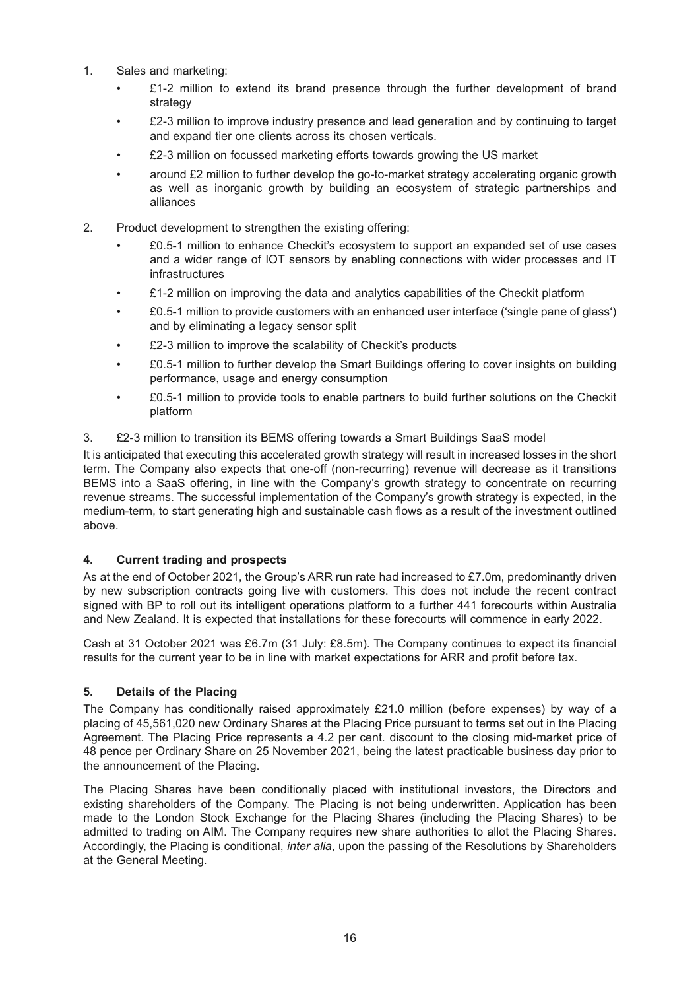- 1. Sales and marketing:
	- $£1-2$  million to extend its brand presence through the further development of brand strategy
	- $£2-3$  million to improve industry presence and lead generation and by continuing to target and expand tier one clients across its chosen verticals.
	- £2-3 million on focussed marketing efforts towards growing the US market
	- around £2 million to further develop the go-to-market strategy accelerating organic growth as well as inorganic growth by building an ecosystem of strategic partnerships and alliances
- 2. Product development to strengthen the existing offering:
	- £0.5-1 million to enhance Checkit's ecosystem to support an expanded set of use cases and a wider range of IOT sensors by enabling connections with wider processes and IT infrastructures
	- £1-2 million on improving the data and analytics capabilities of the Checkit platform
	- £0.5-1 million to provide customers with an enhanced user interface ('single pane of glass') and by eliminating a legacy sensor split
	- £2-3 million to improve the scalability of Checkit's products
	- £0.5-1 million to further develop the Smart Buildings offering to cover insights on building performance, usage and energy consumption
	- £0.5-1 million to provide tools to enable partners to build further solutions on the Checkit platform
- 3. £2-3 million to transition its BEMS offering towards a Smart Buildings SaaS model

It is anticipated that executing this accelerated growth strategy will result in increased losses in the short term. The Company also expects that one-off (non-recurring) revenue will decrease as it transitions BEMS into a SaaS offering, in line with the Company's growth strategy to concentrate on recurring revenue streams. The successful implementation of the Company's growth strategy is expected, in the medium-term, to start generating high and sustainable cash flows as a result of the investment outlined above.

## **4. Current trading and prospects**

As at the end of October 2021, the Group's ARR run rate had increased to £7.0m, predominantly driven by new subscription contracts going live with customers. This does not include the recent contract signed with BP to roll out its intelligent operations platform to a further 441 forecourts within Australia and New Zealand. It is expected that installations for these forecourts will commence in early 2022.

Cash at 31 October 2021 was £6.7m (31 July: £8.5m). The Company continues to expect its financial results for the current year to be in line with market expectations for ARR and profit before tax.

## **5. Details of the Placing**

The Company has conditionally raised approximately £21.0 million (before expenses) by way of a placing of 45,561,020 new Ordinary Shares at the Placing Price pursuant to terms set out in the Placing Agreement. The Placing Price represents a 4.2 per cent. discount to the closing mid-market price of 48 pence per Ordinary Share on 25 November 2021, being the latest practicable business day prior to the announcement of the Placing.

The Placing Shares have been conditionally placed with institutional investors, the Directors and existing shareholders of the Company. The Placing is not being underwritten. Application has been made to the London Stock Exchange for the Placing Shares (including the Placing Shares) to be admitted to trading on AIM. The Company requires new share authorities to allot the Placing Shares. Accordingly, the Placing is conditional, *inter alia*, upon the passing of the Resolutions by Shareholders at the General Meeting.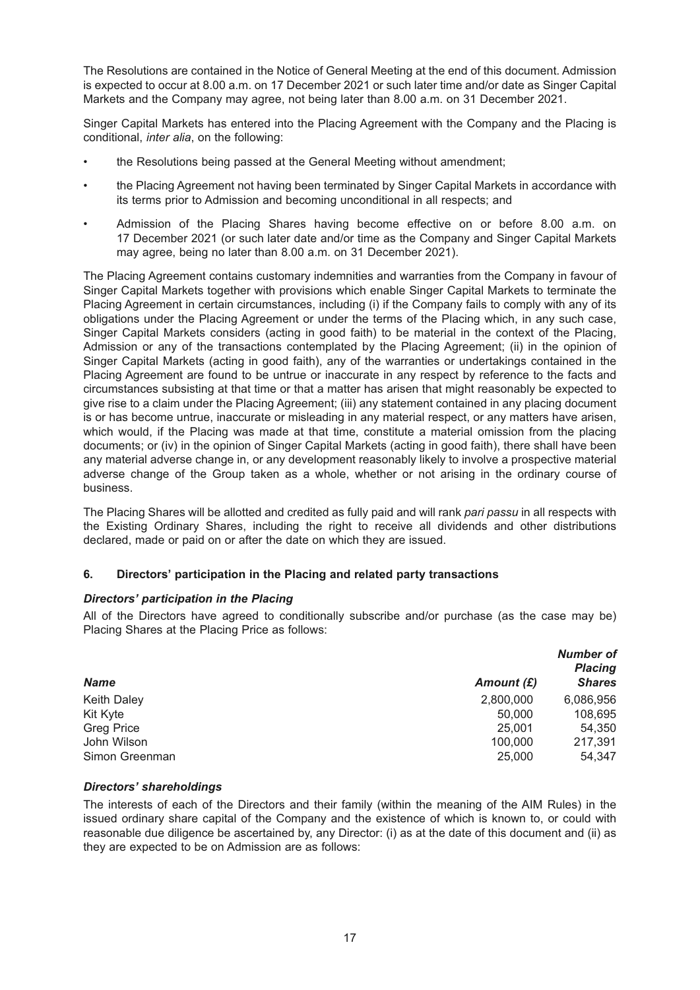The Resolutions are contained in the Notice of General Meeting at the end of this document. Admission is expected to occur at 8.00 a.m. on 17 December 2021 or such later time and/or date as Singer Capital Markets and the Company may agree, not being later than 8.00 a.m. on 31 December 2021.

Singer Capital Markets has entered into the Placing Agreement with the Company and the Placing is conditional, *inter alia*, on the following:

- the Resolutions being passed at the General Meeting without amendment;
- the Placing Agreement not having been terminated by Singer Capital Markets in accordance with its terms prior to Admission and becoming unconditional in all respects; and
- Admission of the Placing Shares having become effective on or before 8.00 a.m. on 17 December 2021 (or such later date and/or time as the Company and Singer Capital Markets may agree, being no later than 8.00 a.m. on 31 December 2021).

The Placing Agreement contains customary indemnities and warranties from the Company in favour of Singer Capital Markets together with provisions which enable Singer Capital Markets to terminate the Placing Agreement in certain circumstances, including (i) if the Company fails to comply with any of its obligations under the Placing Agreement or under the terms of the Placing which, in any such case, Singer Capital Markets considers (acting in good faith) to be material in the context of the Placing, Admission or any of the transactions contemplated by the Placing Agreement; (ii) in the opinion of Singer Capital Markets (acting in good faith), any of the warranties or undertakings contained in the Placing Agreement are found to be untrue or inaccurate in any respect by reference to the facts and circumstances subsisting at that time or that a matter has arisen that might reasonably be expected to give rise to a claim under the Placing Agreement; (iii) any statement contained in any placing document is or has become untrue, inaccurate or misleading in any material respect, or any matters have arisen, which would, if the Placing was made at that time, constitute a material omission from the placing documents; or (iv) in the opinion of Singer Capital Markets (acting in good faith), there shall have been any material adverse change in, or any development reasonably likely to involve a prospective material adverse change of the Group taken as a whole, whether or not arising in the ordinary course of business.

The Placing Shares will be allotted and credited as fully paid and will rank *pari passu* in all respects with the Existing Ordinary Shares, including the right to receive all dividends and other distributions declared, made or paid on or after the date on which they are issued.

## **6. Directors' participation in the Placing and related party transactions**

#### *Directors' participation in the Placing*

All of the Directors have agreed to conditionally subscribe and/or purchase (as the case may be) Placing Shares at the Placing Price as follows:

| <b>Name</b>        | Amount $(E)$ | Number of<br><b>Placing</b><br><b>Shares</b> |
|--------------------|--------------|----------------------------------------------|
| <b>Keith Daley</b> | 2,800,000    | 6,086,956                                    |
| Kit Kyte           | 50,000       | 108,695                                      |
| <b>Greg Price</b>  | 25,001       | 54,350                                       |
| John Wilson        | 100,000      | 217,391                                      |
| Simon Greenman     | 25,000       | 54.347                                       |

#### *Directors' shareholdings*

The interests of each of the Directors and their family (within the meaning of the AIM Rules) in the issued ordinary share capital of the Company and the existence of which is known to, or could with reasonable due diligence be ascertained by, any Director: (i) as at the date of this document and (ii) as they are expected to be on Admission are as follows: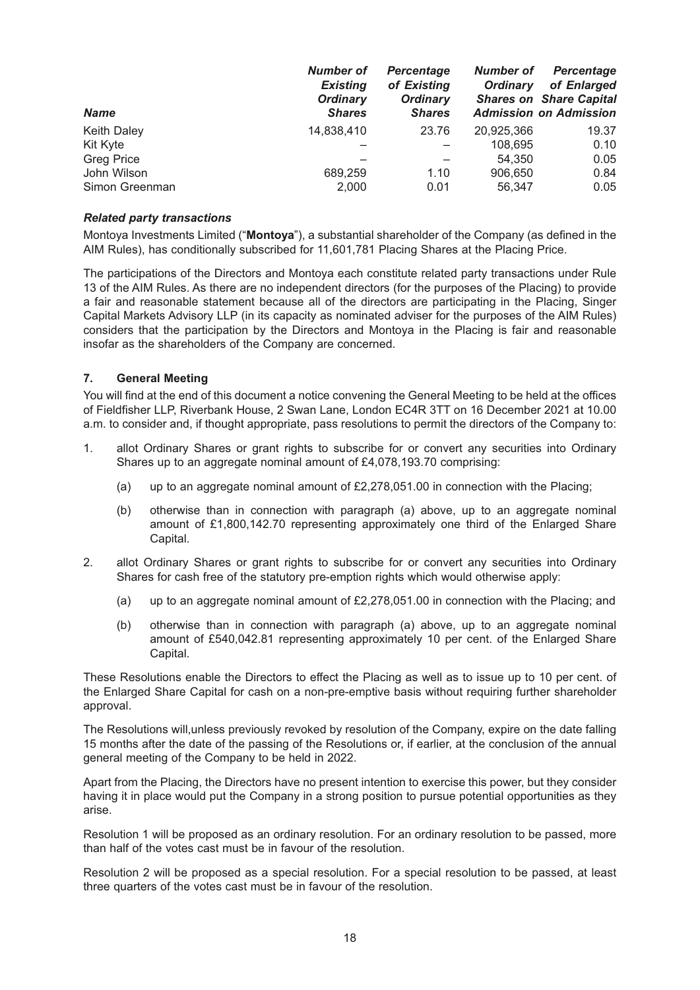| <b>Name</b>        | <b>Number of</b><br><b>Existing</b><br><b>Ordinary</b><br><b>Shares</b> | <b>Percentage</b><br>of Existing<br><b>Ordinary</b><br><b>Shares</b> | Number of<br><b>Ordinary</b> | <b>Percentage</b><br>of Enlarged<br><b>Shares on Share Capital</b><br><b>Admission on Admission</b> |
|--------------------|-------------------------------------------------------------------------|----------------------------------------------------------------------|------------------------------|-----------------------------------------------------------------------------------------------------|
| <b>Keith Daley</b> | 14,838,410                                                              | 23.76                                                                | 20,925,366                   | 19.37                                                                                               |
| Kit Kyte           |                                                                         |                                                                      | 108.695                      | 0.10                                                                                                |
| <b>Greg Price</b>  |                                                                         |                                                                      | 54.350                       | 0.05                                                                                                |
| John Wilson        | 689,259                                                                 | 1.10                                                                 | 906,650                      | 0.84                                                                                                |
| Simon Greenman     | 2,000                                                                   | 0.01                                                                 | 56,347                       | 0.05                                                                                                |

#### *Related party transactions*

Montoya Investments Limited ("**Montoya**"), a substantial shareholder of the Company (as defined in the AIM Rules), has conditionally subscribed for 11,601,781 Placing Shares at the Placing Price.

The participations of the Directors and Montoya each constitute related party transactions under Rule 13 of the AIM Rules. As there are no independent directors (for the purposes of the Placing) to provide a fair and reasonable statement because all of the directors are participating in the Placing, Singer Capital Markets Advisory LLP (in its capacity as nominated adviser for the purposes of the AIM Rules) considers that the participation by the Directors and Montoya in the Placing is fair and reasonable insofar as the shareholders of the Company are concerned.

## **7. General Meeting**

You will find at the end of this document a notice convening the General Meeting to be held at the offices of Fieldfisher LLP, Riverbank House, 2 Swan Lane, London EC4R 3TT on 16 December 2021 at 10.00 a.m. to consider and, if thought appropriate, pass resolutions to permit the directors of the Company to:

- 1. allot Ordinary Shares or grant rights to subscribe for or convert any securities into Ordinary Shares up to an aggregate nominal amount of £4,078,193.70 comprising:
	- (a) up to an aggregate nominal amount of £2,278,051.00 in connection with the Placing;
	- (b) otherwise than in connection with paragraph (a) above, up to an aggregate nominal amount of £1,800,142.70 representing approximately one third of the Enlarged Share Capital.
- 2. allot Ordinary Shares or grant rights to subscribe for or convert any securities into Ordinary Shares for cash free of the statutory pre-emption rights which would otherwise apply:
	- (a) up to an aggregate nominal amount of  $£2,278,051,00$  in connection with the Placing; and
	- (b) otherwise than in connection with paragraph (a) above, up to an aggregate nominal amount of £540,042.81 representing approximately 10 per cent. of the Enlarged Share Capital.

These Resolutions enable the Directors to effect the Placing as well as to issue up to 10 per cent. of the Enlarged Share Capital for cash on a non-pre-emptive basis without requiring further shareholder approval.

The Resolutions will,unless previously revoked by resolution of the Company, expire on the date falling 15 months after the date of the passing of the Resolutions or, if earlier, at the conclusion of the annual general meeting of the Company to be held in 2022.

Apart from the Placing, the Directors have no present intention to exercise this power, but they consider having it in place would put the Company in a strong position to pursue potential opportunities as they arise.

Resolution 1 will be proposed as an ordinary resolution. For an ordinary resolution to be passed, more than half of the votes cast must be in favour of the resolution.

Resolution 2 will be proposed as a special resolution. For a special resolution to be passed, at least three quarters of the votes cast must be in favour of the resolution.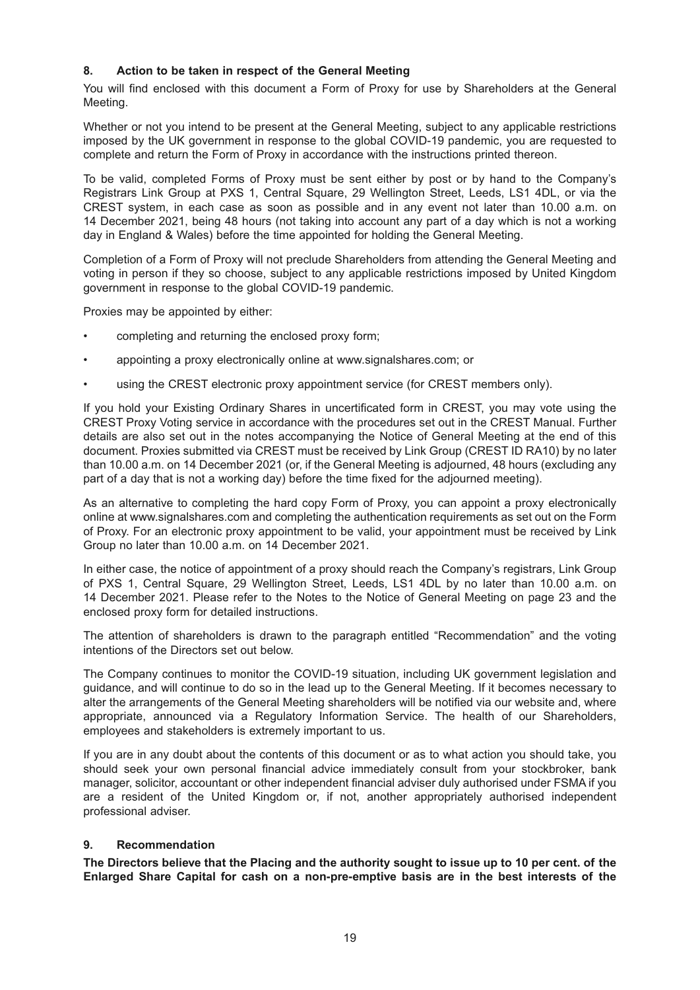## **8. Action to be taken in respect of the General Meeting**

You will find enclosed with this document a Form of Proxy for use by Shareholders at the General Meeting.

Whether or not you intend to be present at the General Meeting, subject to any applicable restrictions imposed by the UK government in response to the global COVID-19 pandemic, you are requested to complete and return the Form of Proxy in accordance with the instructions printed thereon.

To be valid, completed Forms of Proxy must be sent either by post or by hand to the Company's Registrars Link Group at PXS 1, Central Square, 29 Wellington Street, Leeds, LS1 4DL, or via the CREST system, in each case as soon as possible and in any event not later than 10.00 a.m. on 14 December 2021, being 48 hours (not taking into account any part of a day which is not a working day in England & Wales) before the time appointed for holding the General Meeting.

Completion of a Form of Proxy will not preclude Shareholders from attending the General Meeting and voting in person if they so choose, subject to any applicable restrictions imposed by United Kingdom government in response to the global COVID-19 pandemic.

Proxies may be appointed by either:

- completing and returning the enclosed proxy form;
- appointing a proxy electronically online at www.signalshares.com; or
- using the CREST electronic proxy appointment service (for CREST members only).

If you hold your Existing Ordinary Shares in uncertificated form in CREST, you may vote using the CREST Proxy Voting service in accordance with the procedures set out in the CREST Manual. Further details are also set out in the notes accompanying the Notice of General Meeting at the end of this document. Proxies submitted via CREST must be received by Link Group (CREST ID RA10) by no later than 10.00 a.m. on 14 December 2021 (or, if the General Meeting is adjourned, 48 hours (excluding any part of a day that is not a working day) before the time fixed for the adjourned meeting).

As an alternative to completing the hard copy Form of Proxy, you can appoint a proxy electronically online at www.signalshares.com and completing the authentication requirements as set out on the Form of Proxy. For an electronic proxy appointment to be valid, your appointment must be received by Link Group no later than 10.00 a.m. on 14 December 2021.

In either case, the notice of appointment of a proxy should reach the Company's registrars, Link Group of PXS 1, Central Square, 29 Wellington Street, Leeds, LS1 4DL by no later than 10.00 a.m. on 14 December 2021. Please refer to the Notes to the Notice of General Meeting on page 23 and the enclosed proxy form for detailed instructions.

The attention of shareholders is drawn to the paragraph entitled "Recommendation" and the voting intentions of the Directors set out below.

The Company continues to monitor the COVID-19 situation, including UK government legislation and guidance, and will continue to do so in the lead up to the General Meeting. If it becomes necessary to alter the arrangements of the General Meeting shareholders will be notified via our website and, where appropriate, announced via a Regulatory Information Service. The health of our Shareholders, employees and stakeholders is extremely important to us.

If you are in any doubt about the contents of this document or as to what action you should take, you should seek your own personal financial advice immediately consult from your stockbroker, bank manager, solicitor, accountant or other independent financial adviser duly authorised under FSMA if you are a resident of the United Kingdom or, if not, another appropriately authorised independent professional adviser.

## **9. Recommendation**

**The Directors believe that the Placing and the authority sought to issue up to 10 per cent. of the Enlarged Share Capital for cash on a non-pre-emptive basis are in the best interests of the**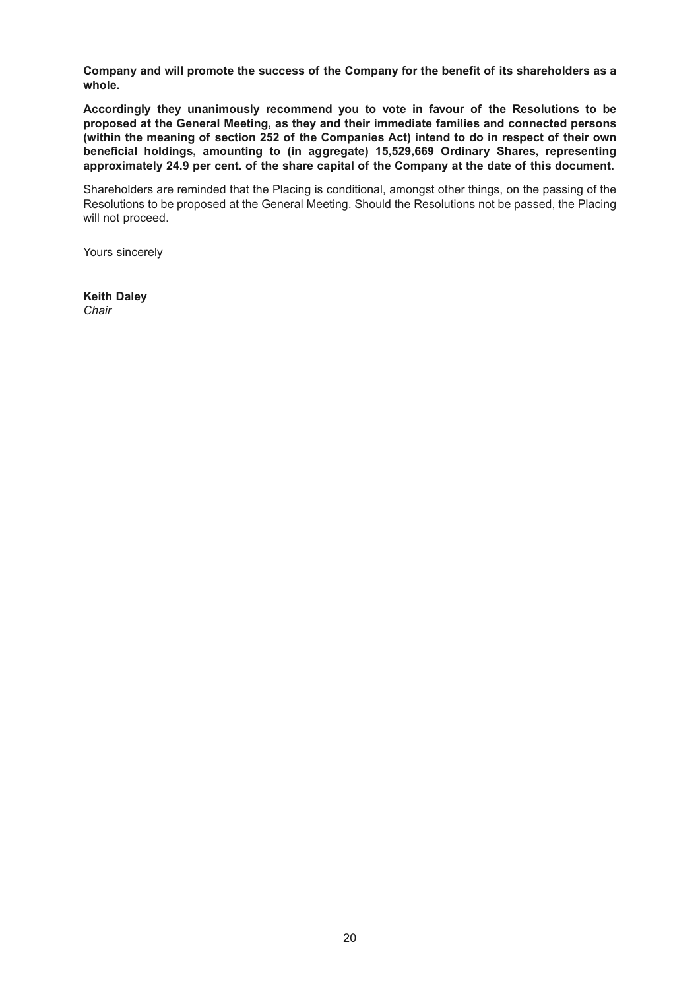**Company and will promote the success of the Company for the benefit of its shareholders as a whole.** 

**Accordingly they unanimously recommend you to vote in favour of the Resolutions to be proposed at the General Meeting, as they and their immediate families and connected persons (within the meaning of section 252 of the Companies Act) intend to do in respect of their own beneficial holdings, amounting to (in aggregate) 15,529,669 Ordinary Shares, representing approximately 24.9 per cent. of the share capital of the Company at the date of this document.**

Shareholders are reminded that the Placing is conditional, amongst other things, on the passing of the Resolutions to be proposed at the General Meeting. Should the Resolutions not be passed, the Placing will not proceed.

Yours sincerely

**Keith Daley** *Chair*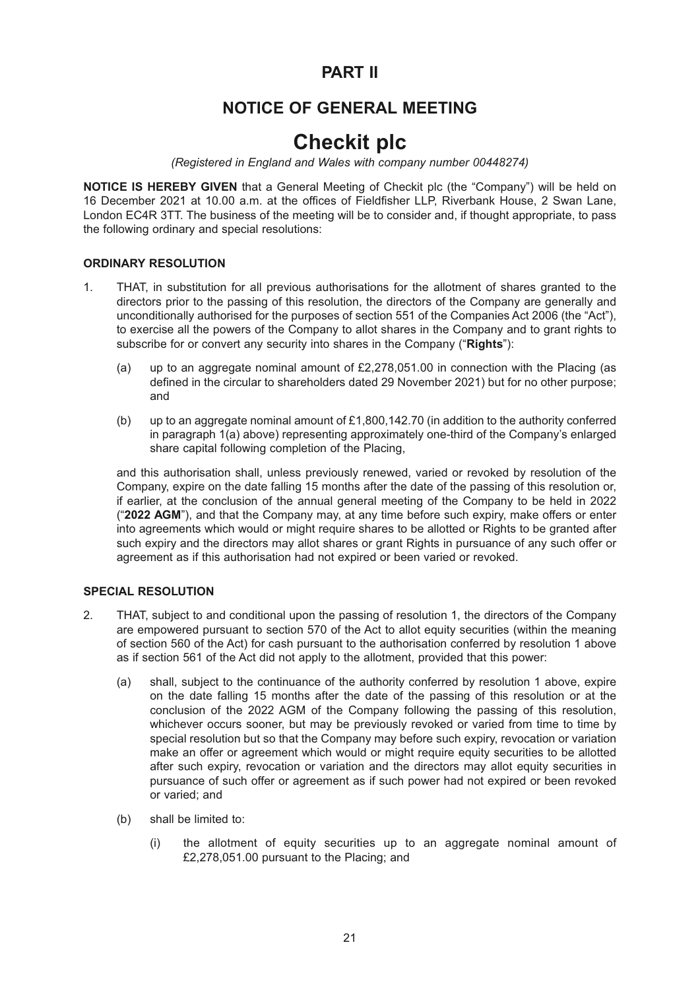## **PART II**

# **NOTICE OF GENERAL MEETING**

# **Checkit plc**

*(Registered in England and Wales with company number 00448274)*

**NOTICE IS HEREBY GIVEN** that a General Meeting of Checkit plc (the "Company") will be held on 16 December 2021 at 10.00 a.m. at the offices of Fieldfisher LLP, Riverbank House, 2 Swan Lane, London EC4R 3TT. The business of the meeting will be to consider and, if thought appropriate, to pass the following ordinary and special resolutions:

## **ORDINARY RESOLUTION**

- 1. THAT, in substitution for all previous authorisations for the allotment of shares granted to the directors prior to the passing of this resolution, the directors of the Company are generally and unconditionally authorised for the purposes of section 551 of the Companies Act 2006 (the "Act"), to exercise all the powers of the Company to allot shares in the Company and to grant rights to subscribe for or convert any security into shares in the Company ("**Rights**"):
	- (a) up to an aggregate nominal amount of £2,278,051.00 in connection with the Placing (as defined in the circular to shareholders dated 29 November 2021) but for no other purpose; and
	- (b) up to an aggregate nominal amount of £1,800,142.70 (in addition to the authority conferred in paragraph 1(a) above) representing approximately one-third of the Company's enlarged share capital following completion of the Placing,

and this authorisation shall, unless previously renewed, varied or revoked by resolution of the Company, expire on the date falling 15 months after the date of the passing of this resolution or, if earlier, at the conclusion of the annual general meeting of the Company to be held in 2022 ("**2022 AGM**"), and that the Company may, at any time before such expiry, make offers or enter into agreements which would or might require shares to be allotted or Rights to be granted after such expiry and the directors may allot shares or grant Rights in pursuance of any such offer or agreement as if this authorisation had not expired or been varied or revoked.

## **SPECIAL RESOLUTION**

- 2. THAT, subject to and conditional upon the passing of resolution 1, the directors of the Company are empowered pursuant to section 570 of the Act to allot equity securities (within the meaning of section 560 of the Act) for cash pursuant to the authorisation conferred by resolution 1 above as if section 561 of the Act did not apply to the allotment, provided that this power:
	- (a) shall, subject to the continuance of the authority conferred by resolution 1 above, expire on the date falling 15 months after the date of the passing of this resolution or at the conclusion of the 2022 AGM of the Company following the passing of this resolution, whichever occurs sooner, but may be previously revoked or varied from time to time by special resolution but so that the Company may before such expiry, revocation or variation make an offer or agreement which would or might require equity securities to be allotted after such expiry, revocation or variation and the directors may allot equity securities in pursuance of such offer or agreement as if such power had not expired or been revoked or varied; and
	- (b) shall be limited to:
		- (i) the allotment of equity securities up to an aggregate nominal amount of £2,278,051.00 pursuant to the Placing; and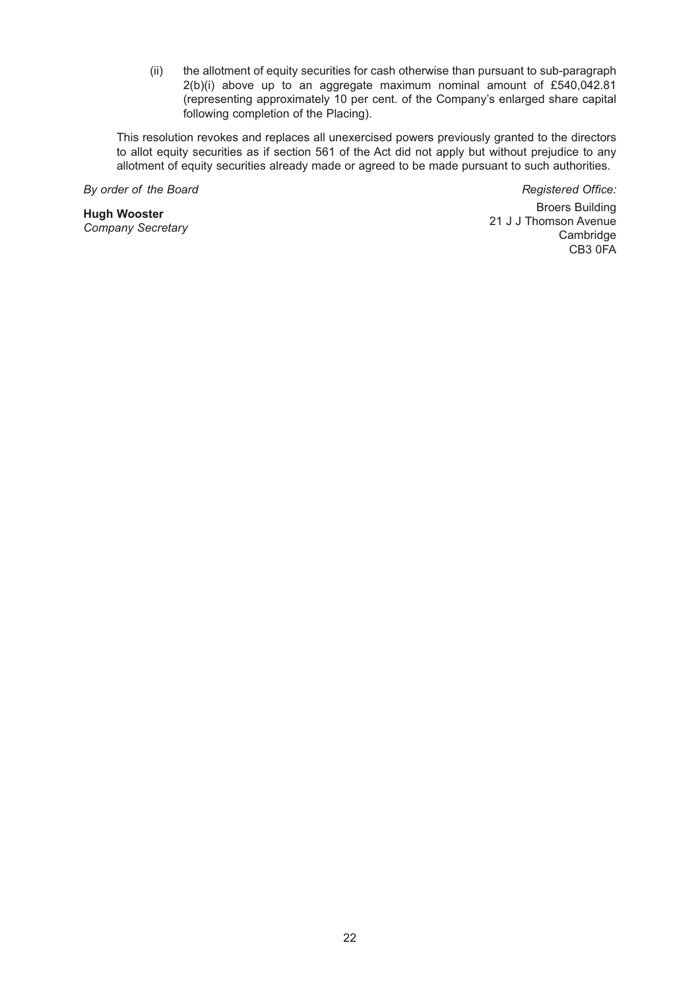(ii) the allotment of equity securities for cash otherwise than pursuant to sub-paragraph  $2(b)(i)$  above up to an aggregate maximum nominal amount of £540,042.81 (representing approximately 10 per cent. of the Company's enlarged share capital following completion of the Placing).

This resolution revokes and replaces all unexercised powers previously granted to the directors to allot equity securities as if section 561 of the Act did not apply but without prejudice to any allotment of equity securities already made or agreed to be made pursuant to such authorities.

*By order of the Board*

**Hugh Wooster** *Company Secretary*

*Registered Office:* Broers Building 21 J J Thomson Avenue Cambridge CB3 0FA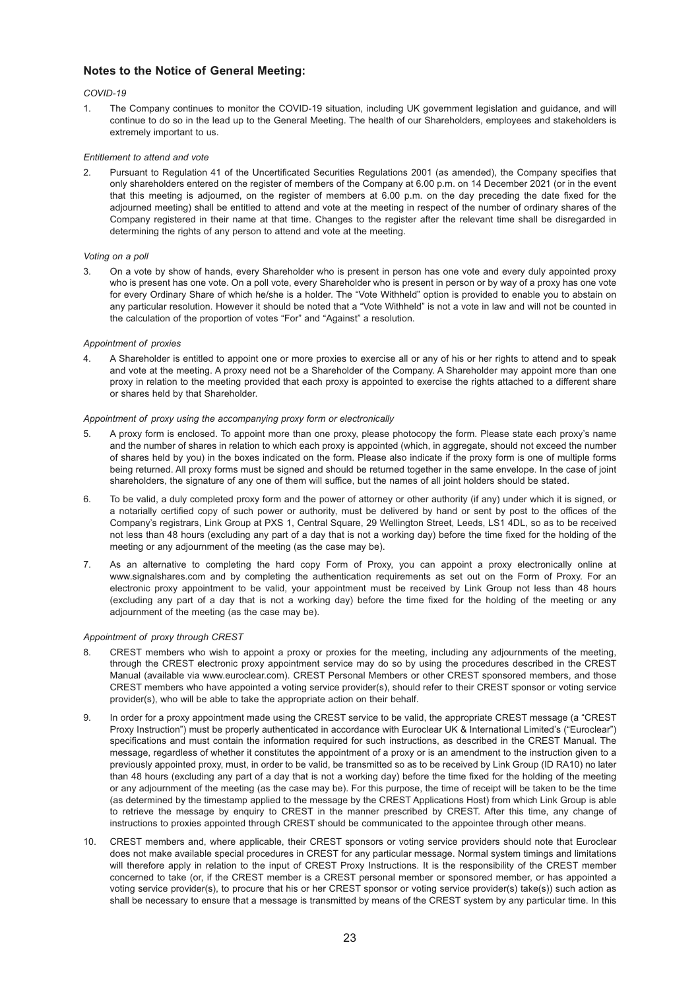#### **Notes to the Notice of General Meeting:**

#### *COVID-19*

1. The Company continues to monitor the COVID-19 situation, including UK government legislation and guidance, and will continue to do so in the lead up to the General Meeting. The health of our Shareholders, employees and stakeholders is extremely important to us.

#### *Entitlement to attend and vote*

2. Pursuant to Regulation 41 of the Uncertificated Securities Regulations 2001 (as amended), the Company specifies that only shareholders entered on the register of members of the Company at 6.00 p.m. on 14 December 2021 (or in the event that this meeting is adjourned, on the register of members at 6.00 p.m. on the day preceding the date fixed for the adjourned meeting) shall be entitled to attend and vote at the meeting in respect of the number of ordinary shares of the Company registered in their name at that time. Changes to the register after the relevant time shall be disregarded in determining the rights of any person to attend and vote at the meeting.

#### *Voting on a poll*

3. On a vote by show of hands, every Shareholder who is present in person has one vote and every duly appointed proxy who is present has one vote. On a poll vote, every Shareholder who is present in person or by way of a proxy has one vote for every Ordinary Share of which he/she is a holder. The "Vote Withheld" option is provided to enable you to abstain on any particular resolution. However it should be noted that a "Vote Withheld" is not a vote in law and will not be counted in the calculation of the proportion of votes "For" and "Against" a resolution.

#### *Appointment of proxies*

4. A Shareholder is entitled to appoint one or more proxies to exercise all or any of his or her rights to attend and to speak and vote at the meeting. A proxy need not be a Shareholder of the Company. A Shareholder may appoint more than one proxy in relation to the meeting provided that each proxy is appointed to exercise the rights attached to a different share or shares held by that Shareholder.

#### *Appointment of proxy using the accompanying proxy form or electronically*

- 5. A proxy form is enclosed. To appoint more than one proxy, please photocopy the form. Please state each proxy's name and the number of shares in relation to which each proxy is appointed (which, in aggregate, should not exceed the number of shares held by you) in the boxes indicated on the form. Please also indicate if the proxy form is one of multiple forms being returned. All proxy forms must be signed and should be returned together in the same envelope. In the case of joint shareholders, the signature of any one of them will suffice, but the names of all joint holders should be stated.
- 6. To be valid, a duly completed proxy form and the power of attorney or other authority (if any) under which it is signed, or a notarially certified copy of such power or authority, must be delivered by hand or sent by post to the offices of the Company's registrars, Link Group at PXS 1, Central Square, 29 Wellington Street, Leeds, LS1 4DL, so as to be received not less than 48 hours (excluding any part of a day that is not a working day) before the time fixed for the holding of the meeting or any adjournment of the meeting (as the case may be).
- 7. As an alternative to completing the hard copy Form of Proxy, you can appoint a proxy electronically online at www.signalshares.com and by completing the authentication requirements as set out on the Form of Proxy. For an electronic proxy appointment to be valid, your appointment must be received by Link Group not less than 48 hours (excluding any part of a day that is not a working day) before the time fixed for the holding of the meeting or any adjournment of the meeting (as the case may be).

#### *Appointment of proxy through CREST*

- 8. CREST members who wish to appoint a proxy or proxies for the meeting, including any adjournments of the meeting, through the CREST electronic proxy appointment service may do so by using the procedures described in the CREST Manual (available via www.euroclear.com). CREST Personal Members or other CREST sponsored members, and those CREST members who have appointed a voting service provider(s), should refer to their CREST sponsor or voting service provider(s), who will be able to take the appropriate action on their behalf.
- 9. In order for a proxy appointment made using the CREST service to be valid, the appropriate CREST message (a "CREST Proxy Instruction") must be properly authenticated in accordance with Euroclear UK & International Limited's ("Euroclear") specifications and must contain the information required for such instructions, as described in the CREST Manual. The message, regardless of whether it constitutes the appointment of a proxy or is an amendment to the instruction given to a previously appointed proxy, must, in order to be valid, be transmitted so as to be received by Link Group (ID RA10) no later than 48 hours (excluding any part of a day that is not a working day) before the time fixed for the holding of the meeting or any adjournment of the meeting (as the case may be). For this purpose, the time of receipt will be taken to be the time (as determined by the timestamp applied to the message by the CREST Applications Host) from which Link Group is able to retrieve the message by enquiry to CREST in the manner prescribed by CREST. After this time, any change of instructions to proxies appointed through CREST should be communicated to the appointee through other means.
- 10. CREST members and, where applicable, their CREST sponsors or voting service providers should note that Euroclear does not make available special procedures in CREST for any particular message. Normal system timings and limitations will therefore apply in relation to the input of CREST Proxy Instructions. It is the responsibility of the CREST member concerned to take (or, if the CREST member is a CREST personal member or sponsored member, or has appointed a voting service provider(s), to procure that his or her CREST sponsor or voting service provider(s) take(s)) such action as shall be necessary to ensure that a message is transmitted by means of the CREST system by any particular time. In this